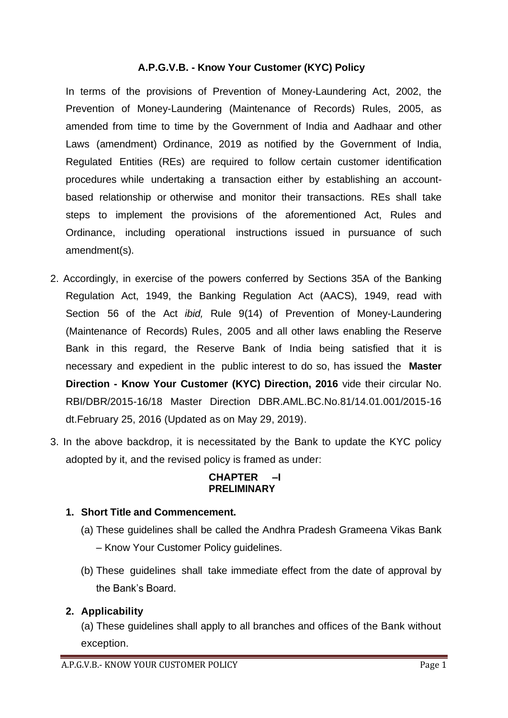## **A.P.G.V.B. - Know Your Customer (KYC) Policy**

In terms of the provisions of Prevention of Money-Laundering Act, 2002, the Prevention of Money-Laundering (Maintenance of Records) Rules, 2005, as amended from time to time by the Government of India and Aadhaar and other Laws (amendment) Ordinance, 2019 as notified by the Government of India, Regulated Entities (REs) are required to follow certain customer identification procedures while undertaking a transaction either by establishing an accountbased relationship or otherwise and monitor their transactions. REs shall take steps to implement the provisions of the aforementioned Act, Rules and Ordinance, including operational instructions issued in pursuance of such amendment(s).

- 2. Accordingly, in exercise of the powers conferred by Sections 35A of the Banking Regulation Act, 1949, the Banking Regulation Act (AACS), 1949, read with Section 56 of the Act *ibid,* Rule 9(14) of Prevention of Money-Laundering (Maintenance of Records) Rules, 2005 and all other laws enabling the Reserve Bank in this regard, the Reserve Bank of India being satisfied that it is necessary and expedient in the public interest to do so, has issued the **Master Direction - Know Your Customer (KYC) Direction, 2016** vide their circular No. RBI/DBR/2015-16/18 Master Direction DBR.AML.BC.No.81/14.01.001/2015-16 dt.February 25, 2016 (Updated as on May 29, 2019).
- 3. In the above backdrop, it is necessitated by the Bank to update the KYC policy adopted by it, and the revised policy is framed as under:

#### **CHAPTER –I PRELIMINARY**

## **1. Short Title and Commencement.**

- (a) These guidelines shall be called the Andhra Pradesh Grameena Vikas Bank – Know Your Customer Policy guidelines.
- (b) These guidelines shall take immediate effect from the date of approval by the Bank's Board.

# **2. Applicability**

(a) These guidelines shall apply to all branches and offices of the Bank without exception.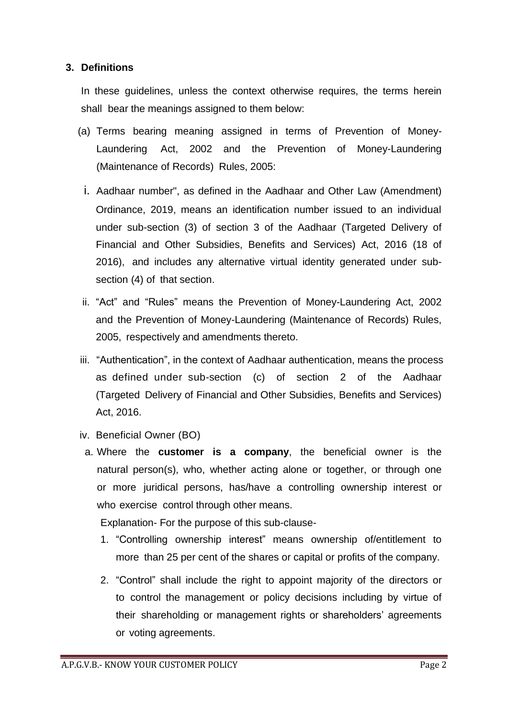## **3. Definitions**

In these guidelines, unless the context otherwise requires, the terms herein shall bear the meanings assigned to them below:

- (a) Terms bearing meaning assigned in terms of Prevention of Money-Laundering Act, 2002 and the Prevention of Money-Laundering (Maintenance of Records) Rules, 2005:
	- i. Aadhaar number", as defined in the Aadhaar and Other Law (Amendment) Ordinance, 2019, means an identification number issued to an individual under sub-section (3) of section 3 of the Aadhaar (Targeted Delivery of Financial and Other Subsidies, Benefits and Services) Act, 2016 (18 of 2016), and includes any alternative virtual identity generated under subsection (4) of that section.
- ii. "Act" and "Rules" means the Prevention of Money-Laundering Act, 2002 and the Prevention of Money-Laundering (Maintenance of Records) Rules, 2005, respectively and amendments thereto.
- iii. "Authentication", in the context of Aadhaar authentication, means the process as defined under sub-section (c) of section 2 of the Aadhaar (Targeted Delivery of Financial and Other Subsidies, Benefits and Services) Act, 2016.
- iv. Beneficial Owner (BO)
- a. Where the **customer is a company**, the beneficial owner is the natural person(s), who, whether acting alone or together, or through one or more juridical persons, has/have a controlling ownership interest or who exercise control through other means.

Explanation- For the purpose of this sub-clause-

- 1. "Controlling ownership interest" means ownership of/entitlement to more than 25 per cent of the shares or capital or profits of the company.
- 2. "Control" shall include the right to appoint majority of the directors or to control the management or policy decisions including by virtue of their shareholding or management rights or shareholders' agreements or voting agreements.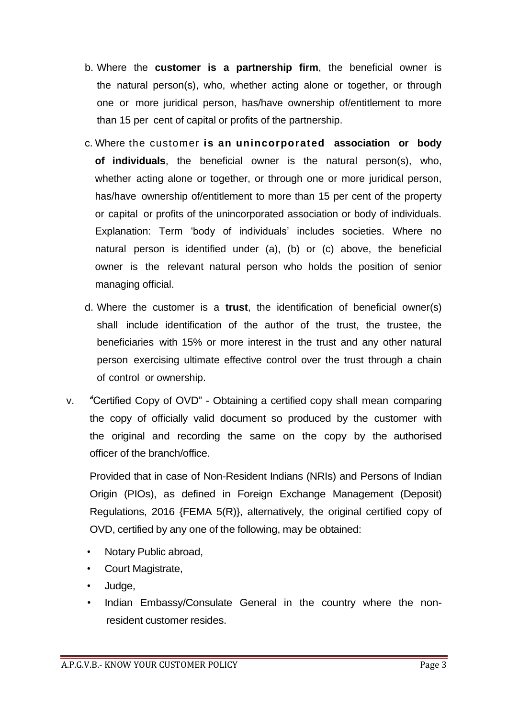- b. Where the **customer is a partnership firm**, the beneficial owner is the natural person(s), who, whether acting alone or together, or through one or more juridical person, has/have ownership of/entitlement to more than 15 per cent of capital or profits of the partnership.
- c. Where the customer **is an unincorporated association or body of individuals**, the beneficial owner is the natural person(s), who, whether acting alone or together, or through one or more juridical person, has/have ownership of/entitlement to more than 15 per cent of the property or capital or profits of the unincorporated association or body of individuals. Explanation: Term 'body of individuals' includes societies. Where no natural person is identified under (a), (b) or (c) above, the beneficial owner is the relevant natural person who holds the position of senior managing official.
- d. Where the customer is a **trust**, the identification of beneficial owner(s) shall include identification of the author of the trust, the trustee, the beneficiaries with 15% or more interest in the trust and any other natural person exercising ultimate effective control over the trust through a chain of control or ownership.
- 4 v. "Certified Copy of OVD" Obtaining a certified copy shall mean comparing the copy of officially valid document so produced by the customer with the original and recording the same on the copy by the authorised officer of the branch/office.

Provided that in case of Non-Resident Indians (NRIs) and Persons of Indian Origin (PIOs), as defined in Foreign Exchange Management (Deposit) Regulations, 2016 {FEMA 5(R)}, alternatively, the original certified copy of OVD, certified by any one of the following, may be obtained:

- Notary Public abroad,
- Court Magistrate,
- Judge,
- Indian Embassy/Consulate General in the country where the nonresident customer resides.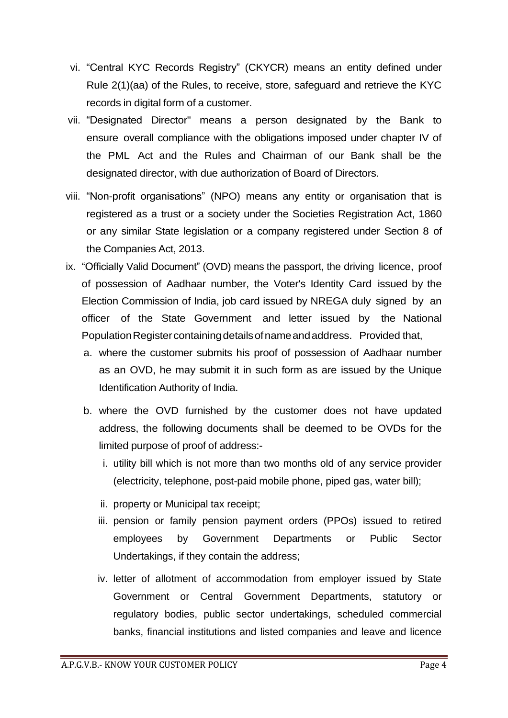- vi. "Central KYC Records Registry" (CKYCR) means an entity defined under Rule 2(1)(aa) of the Rules, to receive, store, safeguard and retrieve the KYC records in digital form of a customer.
- vii. "Designated Director" means a person designated by the Bank to ensure overall compliance with the obligations imposed under chapter IV of the PML Act and the Rules and Chairman of our Bank shall be the designated director, with due authorization of Board of Directors.
- viii. "Non-profit organisations" (NPO) means any entity or organisation that is registered as a trust or a society under the Societies Registration Act, 1860 or any similar State legislation or a company registered under Section 8 of the Companies Act, 2013.
- ix. "Officially Valid Document" (OVD) means the passport, the driving licence, proof of possession of Aadhaar number, the Voter's Identity Card issued by the Election Commission of India, job card issued by NREGA duly signed by an officer of the State Government and letter issued by the National Population Register containing details of name and address. Provided that,
	- a. where the customer submits his proof of possession of Aadhaar number as an OVD, he may submit it in such form as are issued by the Unique Identification Authority of India.
	- b. where the OVD furnished by the customer does not have updated address, the following documents shall be deemed to be OVDs for the limited purpose of proof of address:
		- i. utility bill which is not more than two months old of any service provider (electricity, telephone, post-paid mobile phone, piped gas, water bill);
		- ii. property or Municipal tax receipt;
		- iii. pension or family pension payment orders (PPOs) issued to retired employees by Government Departments or Public Sector Undertakings, if they contain the address;
		- iv. letter of allotment of accommodation from employer issued by State Government or Central Government Departments, statutory or regulatory bodies, public sector undertakings, scheduled commercial banks, financial institutions and listed companies and leave and licence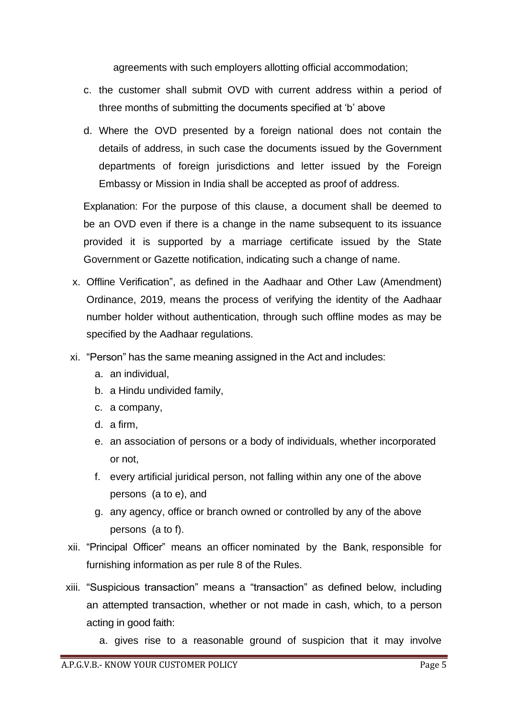agreements with such employers allotting official accommodation;

- c. the customer shall submit OVD with current address within a period of three months of submitting the documents specified at 'b' above
- d. Where the OVD presented by a foreign national does not contain the details of address, in such case the documents issued by the Government departments of foreign jurisdictions and letter issued by the Foreign Embassy or Mission in India shall be accepted as proof of address.

Explanation: For the purpose of this clause, a document shall be deemed to be an OVD even if there is a change in the name subsequent to its issuance provided it is supported by a marriage certificate issued by the State Government or Gazette notification, indicating such a change of name.

- x. Offline Verification", as defined in the Aadhaar and Other Law (Amendment) Ordinance, 2019, means the process of verifying the identity of the Aadhaar number holder without authentication, through such offline modes as may be specified by the Aadhaar regulations.
- xi. "Person" has the same meaning assigned in the Act and includes:
	- a. an individual,
	- b. a Hindu undivided family,
	- c. a company,
	- d. a firm,
	- e. an association of persons or a body of individuals, whether incorporated or not,
	- f. every artificial juridical person, not falling within any one of the above persons (a to e), and
	- g. any agency, office or branch owned or controlled by any of the above persons (a to f).
- xii. "Principal Officer" means an officer nominated by the Bank, responsible for furnishing information as per rule 8 of the Rules.
- xiii. "Suspicious transaction" means a "transaction" as defined below, including an attempted transaction, whether or not made in cash, which, to a person acting in good faith:
	- a. gives rise to a reasonable ground of suspicion that it may involve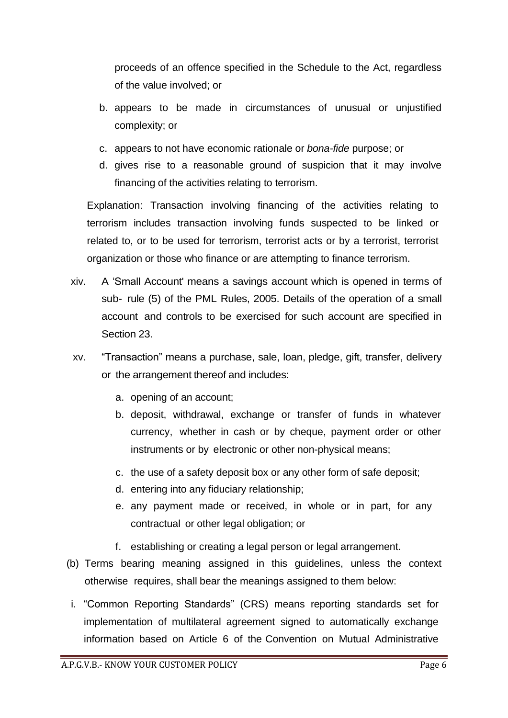proceeds of an offence specified in the Schedule to the Act, regardless of the value involved; or

- b. appears to be made in circumstances of unusual or unjustified complexity; or
- c. appears to not have economic rationale or *bona-fide* purpose; or
- d. gives rise to a reasonable ground of suspicion that it may involve financing of the activities relating to terrorism.

Explanation: Transaction involving financing of the activities relating to terrorism includes transaction involving funds suspected to be linked or related to, or to be used for terrorism, terrorist acts or by a terrorist, terrorist organization or those who finance or are attempting to finance terrorism.

- xiv. A 'Small Account' means a savings account which is opened in terms of sub- rule (5) of the PML Rules, 2005. Details of the operation of a small account and controls to be exercised for such account are specified in Section 23.
- xv. "Transaction" means a purchase, sale, loan, pledge, gift, transfer, delivery or the arrangement thereof and includes:
	- a. opening of an account;
	- b. deposit, withdrawal, exchange or transfer of funds in whatever currency, whether in cash or by cheque, payment order or other instruments or by electronic or other non-physical means;
	- c. the use of a safety deposit box or any other form of safe deposit;
	- d. entering into any fiduciary relationship;
	- e. any payment made or received, in whole or in part, for any contractual or other legal obligation; or
	- f. establishing or creating a legal person or legal arrangement.
- (b) Terms bearing meaning assigned in this guidelines, unless the context otherwise requires, shall bear the meanings assigned to them below:
- i. "Common Reporting Standards" (CRS) means reporting standards set for implementation of multilateral agreement signed to automatically exchange information based on Article 6 of the Convention on Mutual Administrative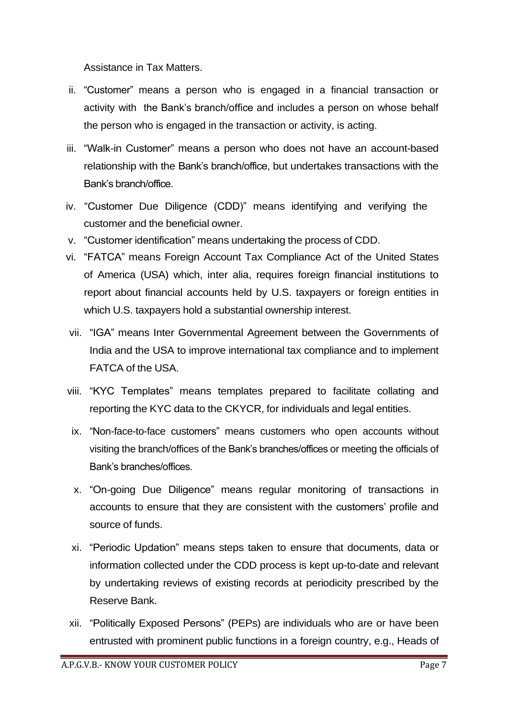Assistance in Tax Matters.

- ii. "Customer" means a person who is engaged in a financial transaction or activity with the Bank's branch/office and includes a person on whose behalf the person who is engaged in the transaction or activity, is acting.
- iii. "Walk-in Customer" means a person who does not have an account-based relationship with the Bank's branch/office, but undertakes transactions with the Bank's branch/office.
- iv. "Customer Due Diligence (CDD)" means identifying and verifying the customer and the beneficial owner.
- v. "Customer identification" means undertaking the process of CDD.
- vi. "FATCA" means Foreign Account Tax Compliance Act of the United States of America (USA) which, inter alia, requires foreign financial institutions to report about financial accounts held by U.S. taxpayers or foreign entities in which U.S. taxpayers hold a substantial ownership interest.
- vii. "IGA" means Inter Governmental Agreement between the Governments of India and the USA to improve international tax compliance and to implement FATCA of the USA.
- viii. "KYC Templates" means templates prepared to facilitate collating and reporting the KYC data to the CKYCR, for individuals and legal entities.
- ix. "Non-face-to-face customers" means customers who open accounts without visiting the branch/offices of the Bank's branches/offices or meeting the officials of Bank's branches/offices.
- x. "On-going Due Diligence" means regular monitoring of transactions in accounts to ensure that they are consistent with the customers' profile and source of funds.
- xi. "Periodic Updation" means steps taken to ensure that documents, data or information collected under the CDD process is kept up-to-date and relevant by undertaking reviews of existing records at periodicity prescribed by the Reserve Bank.
- xii. "Politically Exposed Persons" (PEPs) are individuals who are or have been entrusted with prominent public functions in a foreign country, e.g., Heads of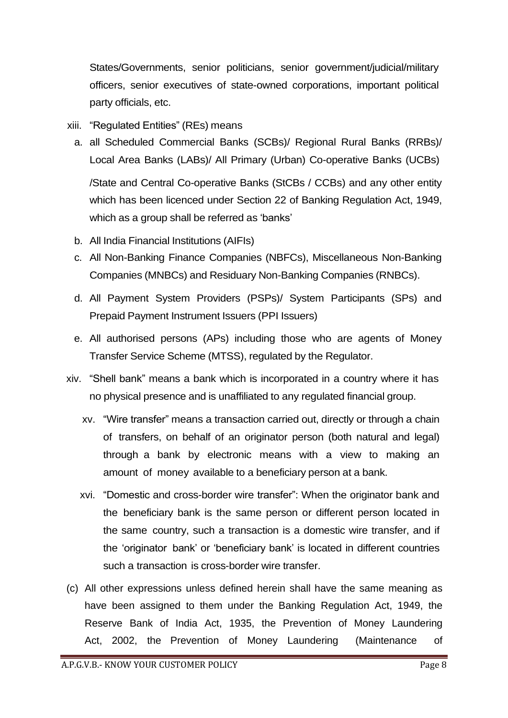States/Governments, senior politicians, senior government/judicial/military officers, senior executives of state-owned corporations, important political party officials, etc.

- xiii. "Regulated Entities" (REs) means
	- a. all Scheduled Commercial Banks (SCBs)/ Regional Rural Banks (RRBs)/ Local Area Banks (LABs)/ All Primary (Urban) Co-operative Banks (UCBs) /State and Central Co-operative Banks (StCBs / CCBs) and any other entity which has been licenced under Section 22 of Banking Regulation Act, 1949, which as a group shall be referred as 'banks'
	- b. All India Financial Institutions (AIFIs)
	- c. All Non-Banking Finance Companies (NBFCs), Miscellaneous Non-Banking Companies (MNBCs) and Residuary Non-Banking Companies (RNBCs).
	- d. All Payment System Providers (PSPs)/ System Participants (SPs) and Prepaid Payment Instrument Issuers (PPI Issuers)
	- e. All authorised persons (APs) including those who are agents of Money Transfer Service Scheme (MTSS), regulated by the Regulator.
- xiv. "Shell bank" means a bank which is incorporated in a country where it has no physical presence and is unaffiliated to any regulated financial group.
	- xv. "Wire transfer" means a transaction carried out, directly or through a chain of transfers, on behalf of an originator person (both natural and legal) through a bank by electronic means with a view to making an amount of money available to a beneficiary person at a bank.
	- xvi. "Domestic and cross-border wire transfer": When the originator bank and the beneficiary bank is the same person or different person located in the same country, such a transaction is a domestic wire transfer, and if the 'originator bank' or 'beneficiary bank' is located in different countries such a transaction is cross-border wire transfer.
- (c) All other expressions unless defined herein shall have the same meaning as have been assigned to them under the Banking Regulation Act, 1949, the Reserve Bank of India Act, 1935, the Prevention of Money Laundering Act, 2002, the Prevention of Money Laundering (Maintenance of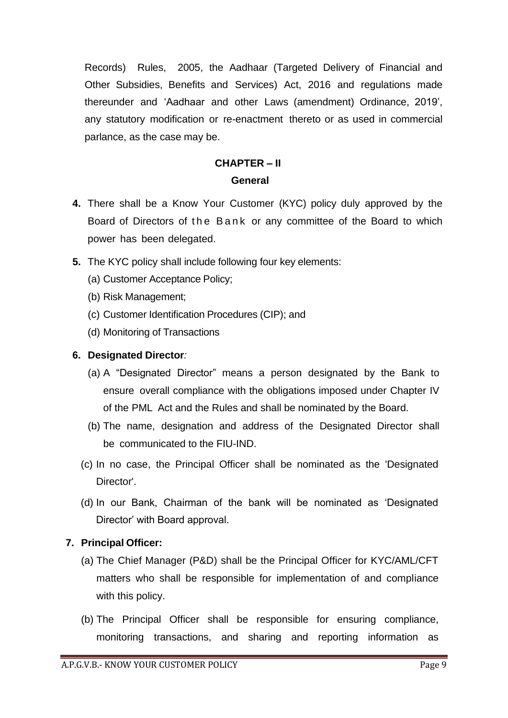Records) Rules, 2005, the Aadhaar (Targeted Delivery of Financial and Other Subsidies, Benefits and Services) Act, 2016 and regulations made thereunder and 'Aadhaar and other Laws (amendment) Ordinance, 2019', any statutory modification or re-enactment thereto or as used in commercial parlance, as the case may be.

# **CHAPTER – II General**

- **4.** There shall be a Know Your Customer (KYC) policy duly approved by the Board of Directors of the Bank or any committee of the Board to which power has been delegated.
- **5.** The KYC policy shall include following four key elements:
	- (a) Customer Acceptance Policy;
	- (b) Risk Management;
	- (c) Customer Identification Procedures (CIP); and
	- (d) Monitoring of Transactions

# **6. Designated Director***:*

- (a) A "Designated Director" means a person designated by the Bank to ensure overall compliance with the obligations imposed under Chapter IV of the PML Act and the Rules and shall be nominated by the Board.
- (b) The name, designation and address of the Designated Director shall be communicated to the FIU-IND.
- (c) In no case, the Principal Officer shall be nominated as the 'Designated Director'.
- (d) In our Bank, Chairman of the bank will be nominated as 'Designated Director' with Board approval.

# **7. Principal Officer:**

- (a) The Chief Manager (P&D) shall be the Principal Officer for KYC/AML/CFT matters who shall be responsible for implementation of and compliance with this policy.
- (b) The Principal Officer shall be responsible for ensuring compliance, monitoring transactions, and sharing and reporting information as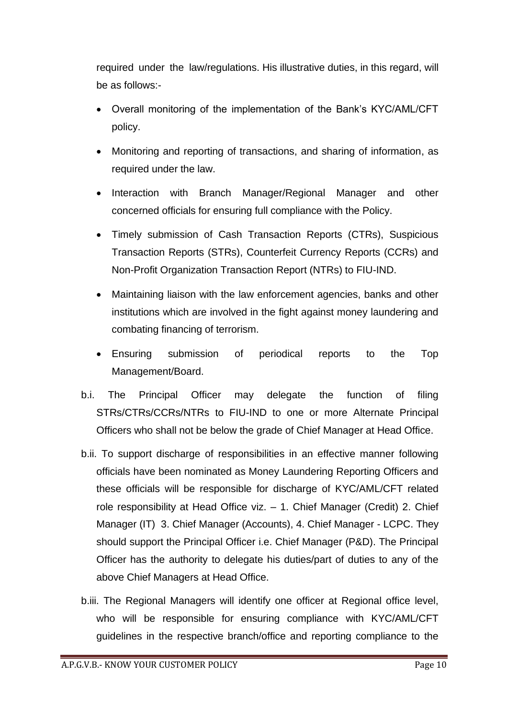required under the law/regulations. His illustrative duties, in this regard, will be as follows:-

- Overall monitoring of the implementation of the Bank's KYC/AML/CFT policy.
- Monitoring and reporting of transactions, and sharing of information, as required under the law.
- Interaction with Branch Manager/Regional Manager and other concerned officials for ensuring full compliance with the Policy.
- Timely submission of Cash Transaction Reports (CTRs), Suspicious Transaction Reports (STRs), Counterfeit Currency Reports (CCRs) and Non-Profit Organization Transaction Report (NTRs) to FIU-IND.
- Maintaining liaison with the law enforcement agencies, banks and other institutions which are involved in the fight against money laundering and combating financing of terrorism.
- Ensuring submission of periodical reports to the Top Management/Board.
- b.i. The Principal Officer may delegate the function of filing STRs/CTRs/CCRs/NTRs to FIU-IND to one or more Alternate Principal Officers who shall not be below the grade of Chief Manager at Head Office.
- b.ii. To support discharge of responsibilities in an effective manner following officials have been nominated as Money Laundering Reporting Officers and these officials will be responsible for discharge of KYC/AML/CFT related role responsibility at Head Office viz. – 1. Chief Manager (Credit) 2. Chief Manager (IT) 3. Chief Manager (Accounts), 4. Chief Manager - LCPC. They should support the Principal Officer i.e. Chief Manager (P&D). The Principal Officer has the authority to delegate his duties/part of duties to any of the above Chief Managers at Head Office.
- b.iii. The Regional Managers will identify one officer at Regional office level, who will be responsible for ensuring compliance with KYC/AML/CFT guidelines in the respective branch/office and reporting compliance to the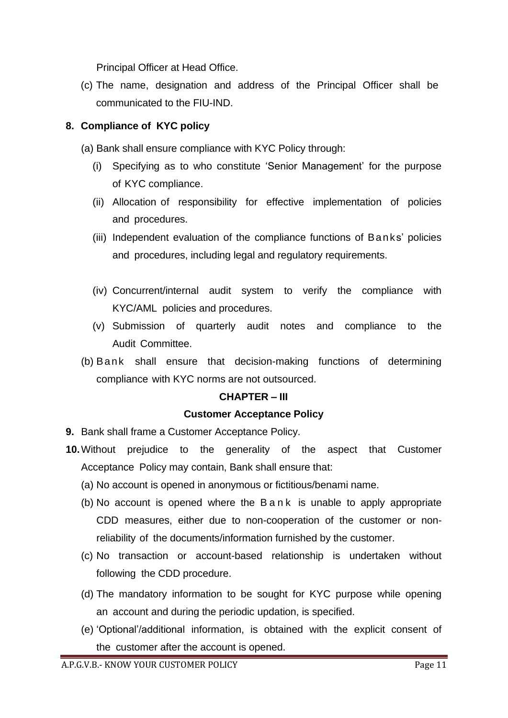Principal Officer at Head Office.

(c) The name, designation and address of the Principal Officer shall be communicated to the FIU-IND.

# **8. Compliance of KYC policy**

(a) Bank shall ensure compliance with KYC Policy through:

- (i) Specifying as to who constitute 'Senior Management' for the purpose of KYC compliance.
- (ii) Allocation of responsibility for effective implementation of policies and procedures.
- (iii) Independent evaluation of the compliance functions of Banks' policies and procedures, including legal and regulatory requirements.
- (iv) Concurrent/internal audit system to verify the compliance with KYC/AML policies and procedures.
- (v) Submission of quarterly audit notes and compliance to the Audit Committee.
- (b) Bank shall ensure that decision-making functions of determining compliance with KYC norms are not outsourced.

#### **CHAPTER – III**

#### **Customer Acceptance Policy**

**9.** Bank shall frame a Customer Acceptance Policy.

- **10.**Without prejudice to the generality of the aspect that Customer Acceptance Policy may contain, Bank shall ensure that:
	- (a) No account is opened in anonymous or fictitious/benami name.
	- (b) No account is opened where the B a n k is unable to apply appropriate CDD measures, either due to non-cooperation of the customer or nonreliability of the documents/information furnished by the customer.
	- (c) No transaction or account-based relationship is undertaken without following the CDD procedure.
	- (d) The mandatory information to be sought for KYC purpose while opening an account and during the periodic updation, is specified.
	- (e) 'Optional'/additional information, is obtained with the explicit consent of the customer after the account is opened.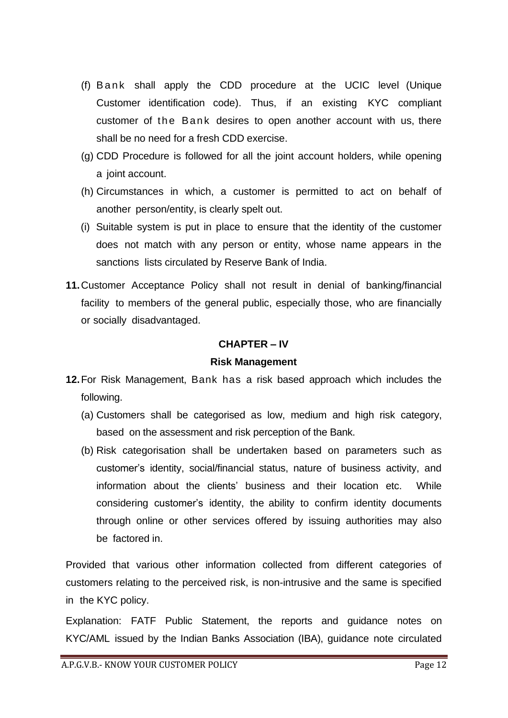- (f) B ank shall apply the CDD procedure at the UCIC level (Unique Customer identification code). Thus, if an existing KYC compliant customer of the Bank desires to open another account with us, there shall be no need for a fresh CDD exercise.
- (g) CDD Procedure is followed for all the joint account holders, while opening a joint account.
- (h) Circumstances in which, a customer is permitted to act on behalf of another person/entity, is clearly spelt out.
- (i) Suitable system is put in place to ensure that the identity of the customer does not match with any person or entity, whose name appears in the sanctions lists circulated by Reserve Bank of India.
- **11.**Customer Acceptance Policy shall not result in denial of banking/financial facility to members of the general public, especially those, who are financially or socially disadvantaged.

#### **CHAPTER – IV**

#### **Risk Management**

- **12.**For Risk Management, Bank has a risk based approach which includes the following.
	- (a) Customers shall be categorised as low, medium and high risk category, based on the assessment and risk perception of the Bank.
	- (b) Risk categorisation shall be undertaken based on parameters such as customer's identity, social/financial status, nature of business activity, and information about the clients' business and their location etc. While considering customer's identity, the ability to confirm identity documents through online or other services offered by issuing authorities may also be factored in.

Provided that various other information collected from different categories of customers relating to the perceived risk, is non-intrusive and the same is specified in the KYC policy.

Explanation: FATF Public Statement, the reports and guidance notes on KYC/AML issued by the Indian Banks Association (IBA), guidance note circulated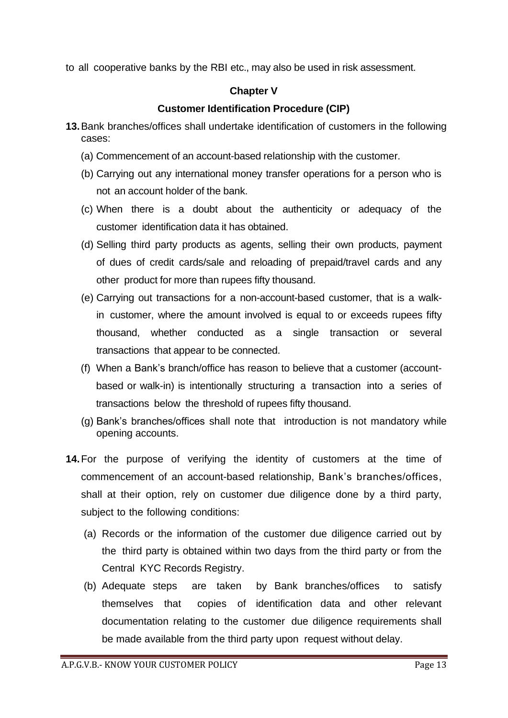to all cooperative banks by the RBI etc., may also be used in risk assessment.

## **Chapter V**

# **Customer Identification Procedure (CIP)**

- **13.**Bank branches/offices shall undertake identification of customers in the following cases:
	- (a) Commencement of an account-based relationship with the customer.
	- (b) Carrying out any international money transfer operations for a person who is not an account holder of the bank.
	- (c) When there is a doubt about the authenticity or adequacy of the customer identification data it has obtained.
	- (d) Selling third party products as agents, selling their own products, payment of dues of credit cards/sale and reloading of prepaid/travel cards and any other product for more than rupees fifty thousand.
	- (e) Carrying out transactions for a non-account-based customer, that is a walkin customer, where the amount involved is equal to or exceeds rupees fifty thousand, whether conducted as a single transaction or several transactions that appear to be connected.
	- (f) When a Bank's branch/office has reason to believe that a customer (accountbased or walk-in) is intentionally structuring a transaction into a series of transactions below the threshold of rupees fifty thousand.
	- (g) Bank's branches/offices shall note that introduction is not mandatory while opening accounts.
- **14.**For the purpose of verifying the identity of customers at the time of commencement of an account-based relationship, Bank's branches/offices, shall at their option, rely on customer due diligence done by a third party, subject to the following conditions:
	- (a) Records or the information of the customer due diligence carried out by the third party is obtained within two days from the third party or from the Central KYC Records Registry.
	- (b) Adequate steps are taken by Bank branches/offices to satisfy themselves that copies of identification data and other relevant documentation relating to the customer due diligence requirements shall be made available from the third party upon request without delay.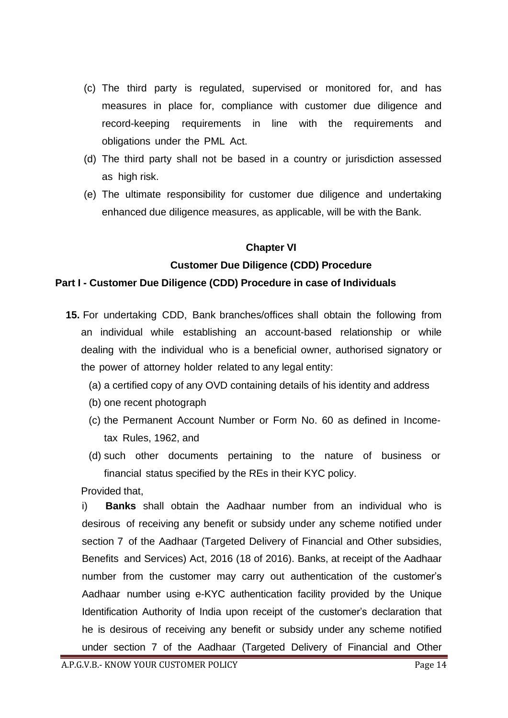- (c) The third party is regulated, supervised or monitored for, and has measures in place for, compliance with customer due diligence and record-keeping requirements in line with the requirements and obligations under the PML Act.
- (d) The third party shall not be based in a country or jurisdiction assessed as high risk.
- (e) The ultimate responsibility for customer due diligence and undertaking enhanced due diligence measures, as applicable, will be with the Bank.

#### **Chapter VI**

# **Customer Due Diligence (CDD) Procedure**

#### **Part I - Customer Due Diligence (CDD) Procedure in case of Individuals**

- **15.** For undertaking CDD, Bank branches/offices shall obtain the following from an individual while establishing an account-based relationship or while dealing with the individual who is a beneficial owner, authorised signatory or the power of attorney holder related to any legal entity:
	- (a) a certified copy of any OVD containing details of his identity and address
	- (b) one recent photograph
	- (c) the Permanent Account Number or Form No. 60 as defined in Incometax Rules, 1962, and
	- (d) such other documents pertaining to the nature of business or financial status specified by the REs in their KYC policy.

Provided that,

i) **Banks** shall obtain the Aadhaar number from an individual who is desirous of receiving any benefit or subsidy under any scheme notified under section 7 of the Aadhaar (Targeted Delivery of Financial and Other subsidies, Benefits and Services) Act, 2016 (18 of 2016). Banks, at receipt of the Aadhaar number from the customer may carry out authentication of the customer's Aadhaar number using e-KYC authentication facility provided by the Unique Identification Authority of India upon receipt of the customer's declaration that he is desirous of receiving any benefit or subsidy under any scheme notified under section 7 of the Aadhaar (Targeted Delivery of Financial and Other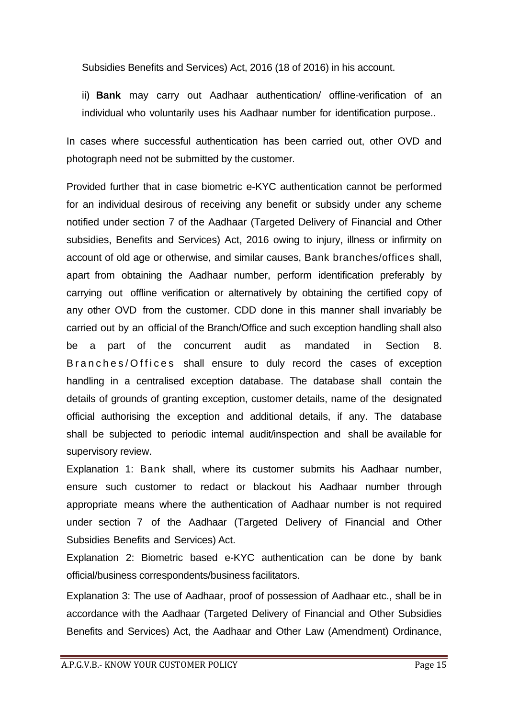Subsidies Benefits and Services) Act, 2016 (18 of 2016) in his account.

ii) **Bank** may carry out Aadhaar authentication/ offline-verification of an individual who voluntarily uses his Aadhaar number for identification purpose..

In cases where successful authentication has been carried out, other OVD and photograph need not be submitted by the customer.

Provided further that in case biometric e-KYC authentication cannot be performed for an individual desirous of receiving any benefit or subsidy under any scheme notified under section 7 of the Aadhaar (Targeted Delivery of Financial and Other subsidies, Benefits and Services) Act, 2016 owing to injury, illness or infirmity on account of old age or otherwise, and similar causes, Bank branches/offices shall, apart from obtaining the Aadhaar number, perform identification preferably by carrying out offline verification or alternatively by obtaining the certified copy of any other OVD from the customer. CDD done in this manner shall invariably be carried out by an official of the Branch/Office and such exception handling shall also be a part of the concurrent audit as mandated in Section 8. B r a n c h e s / O f f i c e s hall ensure to duly record the cases of exception handling in a centralised exception database. The database shall contain the details of grounds of granting exception, customer details, name of the designated official authorising the exception and additional details, if any. The database shall be subjected to periodic internal audit/inspection and shall be available for supervisory review.

Explanation 1: Bank shall, where its customer submits his Aadhaar number, ensure such customer to redact or blackout his Aadhaar number through appropriate means where the authentication of Aadhaar number is not required under section 7 of the Aadhaar (Targeted Delivery of Financial and Other Subsidies Benefits and Services) Act.

Explanation 2: Biometric based e-KYC authentication can be done by bank official/business correspondents/business facilitators.

Explanation 3: The use of Aadhaar, proof of possession of Aadhaar etc., shall be in accordance with the Aadhaar (Targeted Delivery of Financial and Other Subsidies Benefits and Services) Act, the Aadhaar and Other Law (Amendment) Ordinance,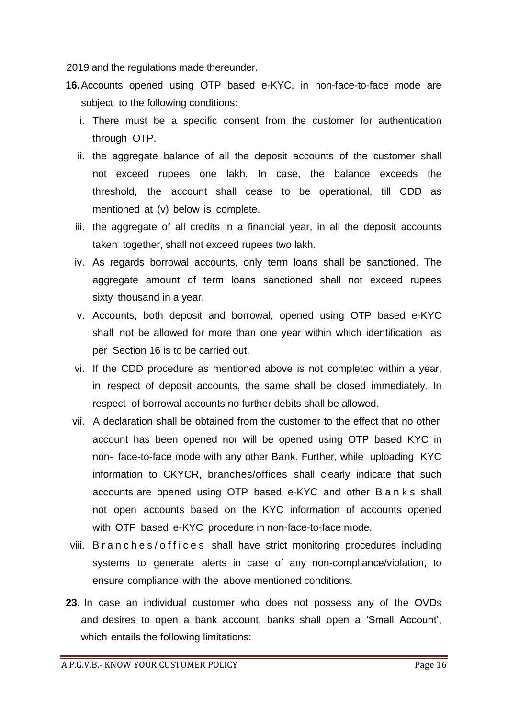2019 and the regulations made thereunder.

- **16.**Accounts opened using OTP based e-KYC, in non-face-to-face mode are subject to the following conditions:
	- i. There must be a specific consent from the customer for authentication through OTP.
	- ii. the aggregate balance of all the deposit accounts of the customer shall not exceed rupees one lakh. In case, the balance exceeds the threshold, the account shall cease to be operational, till CDD as mentioned at (v) below is complete.
	- iii. the aggregate of all credits in a financial year, in all the deposit accounts taken together, shall not exceed rupees two lakh.
	- iv. As regards borrowal accounts, only term loans shall be sanctioned. The aggregate amount of term loans sanctioned shall not exceed rupees sixty thousand in a year.
	- v. Accounts, both deposit and borrowal, opened using OTP based e-KYC shall not be allowed for more than one year within which identification as per Section 16 is to be carried out.
	- vi. If the CDD procedure as mentioned above is not completed within a year, in respect of deposit accounts, the same shall be closed immediately. In respect of borrowal accounts no further debits shall be allowed.
	- vii. A declaration shall be obtained from the customer to the effect that no other account has been opened nor will be opened using OTP based KYC in non- face-to-face mode with any other Bank. Further, while uploading KYC information to CKYCR, branches/offices shall clearly indicate that such accounts are opened using OTP based e-KYC and other B a n k s shall not open accounts based on the KYC information of accounts opened with OTP based e-KYC procedure in non-face-to-face mode.
- viii. B r a n c h e s / o f f i c e s shall have strict monitoring procedures including systems to generate alerts in case of any non-compliance/violation, to ensure compliance with the above mentioned conditions.
- **23.** In case an individual customer who does not possess any of the OVDs and desires to open a bank account, banks shall open a 'Small Account', which entails the following limitations: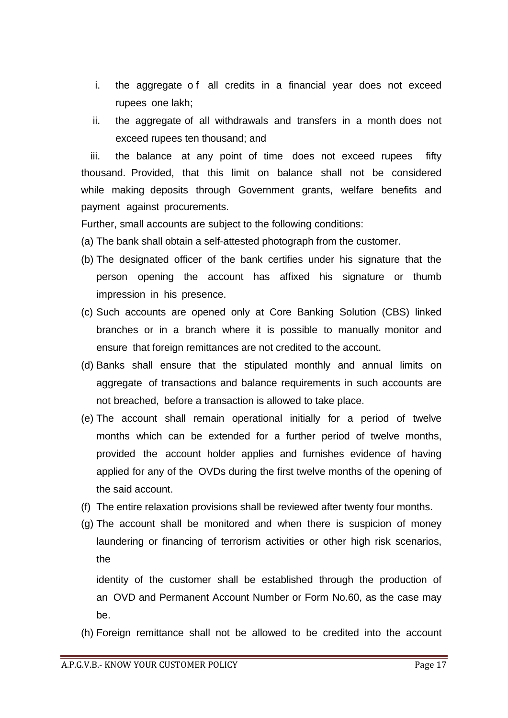- i. the aggregate of all credits in a financial year does not exceed rupees one lakh;
- ii. the aggregate of all withdrawals and transfers in a month does not exceed rupees ten thousand; and

iii. the balance at any point of time does not exceed rupees fifty thousand. Provided, that this limit on balance shall not be considered while making deposits through Government grants, welfare benefits and payment against procurements.

Further, small accounts are subject to the following conditions:

- (a) The bank shall obtain a self-attested photograph from the customer.
- (b) The designated officer of the bank certifies under his signature that the person opening the account has affixed his signature or thumb impression in his presence.
- (c) Such accounts are opened only at Core Banking Solution (CBS) linked branches or in a branch where it is possible to manually monitor and ensure that foreign remittances are not credited to the account.
- (d) Banks shall ensure that the stipulated monthly and annual limits on aggregate of transactions and balance requirements in such accounts are not breached, before a transaction is allowed to take place.
- (e) The account shall remain operational initially for a period of twelve months which can be extended for a further period of twelve months, provided the account holder applies and furnishes evidence of having applied for any of the OVDs during the first twelve months of the opening of the said account.
- (f) The entire relaxation provisions shall be reviewed after twenty four months.
- (g) The account shall be monitored and when there is suspicion of money laundering or financing of terrorism activities or other high risk scenarios, the

identity of the customer shall be established through the production of an OVD and Permanent Account Number or Form No.60, as the case may be.

(h) Foreign remittance shall not be allowed to be credited into the account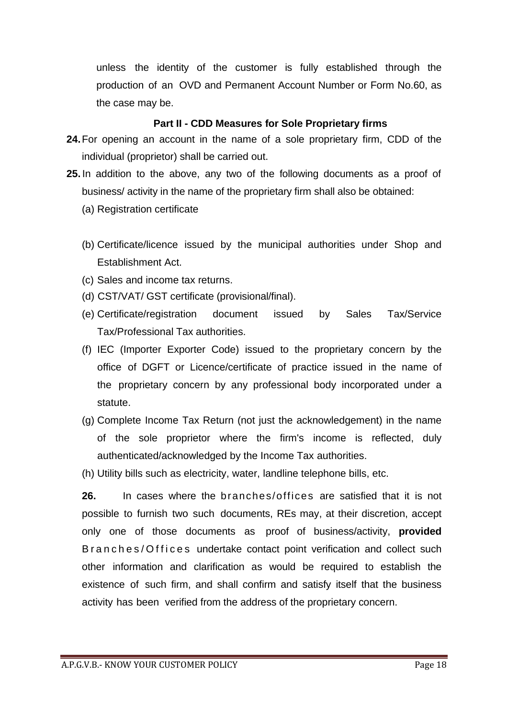unless the identity of the customer is fully established through the production of an OVD and Permanent Account Number or Form No.60, as the case may be.

#### **Part II - CDD Measures for Sole Proprietary firms**

- **24.**For opening an account in the name of a sole proprietary firm, CDD of the individual (proprietor) shall be carried out.
- **25.** In addition to the above, any two of the following documents as a proof of business/ activity in the name of the proprietary firm shall also be obtained:
	- (a) Registration certificate
	- (b) Certificate/licence issued by the municipal authorities under Shop and Establishment Act.
	- (c) Sales and income tax returns.
	- (d) CST/VAT/ GST certificate (provisional/final).
	- (e) Certificate/registration document issued by Sales Tax/Service Tax/Professional Tax authorities.
	- (f) IEC (Importer Exporter Code) issued to the proprietary concern by the office of DGFT or Licence/certificate of practice issued in the name of the proprietary concern by any professional body incorporated under a statute.
	- (g) Complete Income Tax Return (not just the acknowledgement) in the name of the sole proprietor where the firm's income is reflected, duly authenticated/acknowledged by the Income Tax authorities.
	- (h) Utility bills such as electricity, water, landline telephone bills, etc.

**26.** In cases where the branches/offices are satisfied that it is not possible to furnish two such documents, REs may, at their discretion, accept only one of those documents as proof of business/activity, **provided** B r a n c h e s / O f f i c e s undertake contact point verification and collect such other information and clarification as would be required to establish the existence of such firm, and shall confirm and satisfy itself that the business activity has been verified from the address of the proprietary concern.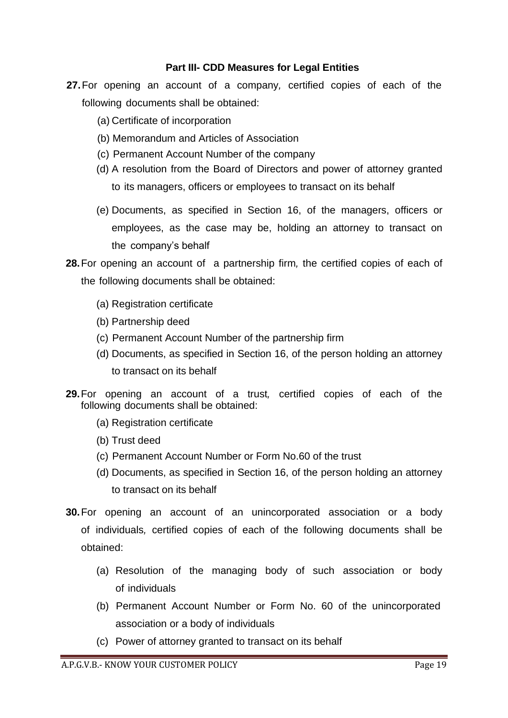#### **Part III- CDD Measures for Legal Entities**

- **27.**For opening an account of a company*,* certified copies of each of the following documents shall be obtained:
	- (a) Certificate of incorporation
	- (b) Memorandum and Articles of Association
	- (c) Permanent Account Number of the company
	- (d) A resolution from the Board of Directors and power of attorney granted to its managers, officers or employees to transact on its behalf
	- (e) Documents, as specified in Section 16, of the managers, officers or employees, as the case may be, holding an attorney to transact on the company's behalf
- **28.**For opening an account of a partnership firm*,* the certified copies of each of the following documents shall be obtained:
	- (a) Registration certificate
	- (b) Partnership deed
	- (c) Permanent Account Number of the partnership firm
	- (d) Documents, as specified in Section 16, of the person holding an attorney to transact on its behalf
- **29.**For opening an account of a trust*,* certified copies of each of the following documents shall be obtained:
	- (a) Registration certificate
	- (b) Trust deed
	- (c) Permanent Account Number or Form No.60 of the trust
	- (d) Documents, as specified in Section 16, of the person holding an attorney to transact on its behalf
- **30.**For opening an account of an unincorporated association or a body of individuals*,* certified copies of each of the following documents shall be obtained:
	- (a) Resolution of the managing body of such association or body of individuals
	- (b) Permanent Account Number or Form No. 60 of the unincorporated association or a body of individuals
	- (c) Power of attorney granted to transact on its behalf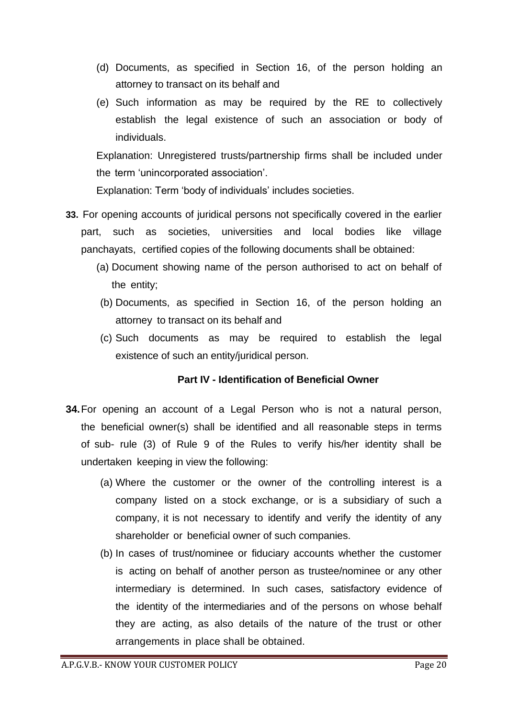- (d) Documents, as specified in Section 16, of the person holding an attorney to transact on its behalf and
- (e) Such information as may be required by the RE to collectively establish the legal existence of such an association or body of individuals.

Explanation: Unregistered trusts/partnership firms shall be included under the term 'unincorporated association'.

Explanation: Term 'body of individuals' includes societies.

- **33.** For opening accounts of juridical persons not specifically covered in the earlier part, such as societies, universities and local bodies like village panchayats, certified copies of the following documents shall be obtained:
	- (a) Document showing name of the person authorised to act on behalf of the entity;
	- (b) Documents, as specified in Section 16, of the person holding an attorney to transact on its behalf and
	- (c) Such documents as may be required to establish the legal existence of such an entity/juridical person.

## **Part IV - Identification of Beneficial Owner**

- **34.**For opening an account of a Legal Person who is not a natural person, the beneficial owner(s) shall be identified and all reasonable steps in terms of sub- rule (3) of Rule 9 of the Rules to verify his/her identity shall be undertaken keeping in view the following:
	- (a) Where the customer or the owner of the controlling interest is a company listed on a stock exchange, or is a subsidiary of such a company, it is not necessary to identify and verify the identity of any shareholder or beneficial owner of such companies.
	- (b) In cases of trust/nominee or fiduciary accounts whether the customer is acting on behalf of another person as trustee/nominee or any other intermediary is determined. In such cases, satisfactory evidence of the identity of the intermediaries and of the persons on whose behalf they are acting, as also details of the nature of the trust or other arrangements in place shall be obtained.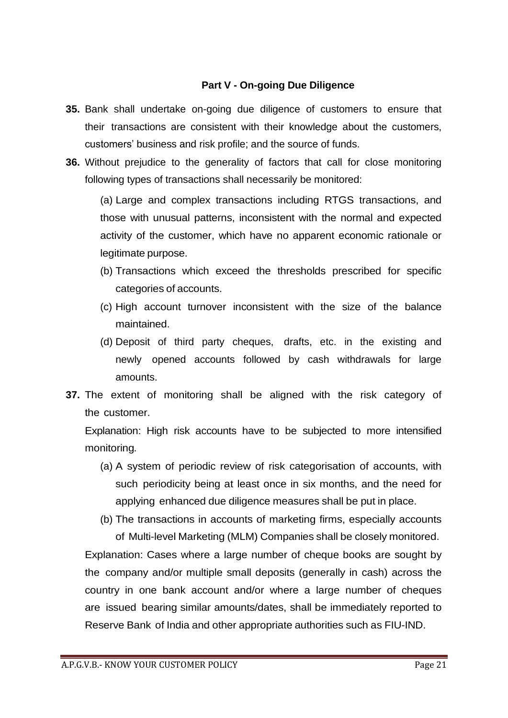## **Part V - On-going Due Diligence**

- **35.** Bank shall undertake on-going due diligence of customers to ensure that their transactions are consistent with their knowledge about the customers, customers' business and risk profile; and the source of funds.
- **36.** Without prejudice to the generality of factors that call for close monitoring following types of transactions shall necessarily be monitored:

(a) Large and complex transactions including RTGS transactions, and those with unusual patterns, inconsistent with the normal and expected activity of the customer, which have no apparent economic rationale or legitimate purpose.

- (b) Transactions which exceed the thresholds prescribed for specific categories of accounts.
- (c) High account turnover inconsistent with the size of the balance maintained.
- (d) Deposit of third party cheques, drafts, etc. in the existing and newly opened accounts followed by cash withdrawals for large amounts.
- **37.** The extent of monitoring shall be aligned with the risk category of the customer.

Explanation: High risk accounts have to be subjected to more intensified monitoring*.*

- (a) A system of periodic review of risk categorisation of accounts, with such periodicity being at least once in six months, and the need for applying enhanced due diligence measures shall be put in place.
- (b) The transactions in accounts of marketing firms, especially accounts of Multi-level Marketing (MLM) Companies shall be closely monitored.

Explanation: Cases where a large number of cheque books are sought by the company and/or multiple small deposits (generally in cash) across the country in one bank account and/or where a large number of cheques are issued bearing similar amounts/dates, shall be immediately reported to Reserve Bank of India and other appropriate authorities such as FIU-IND.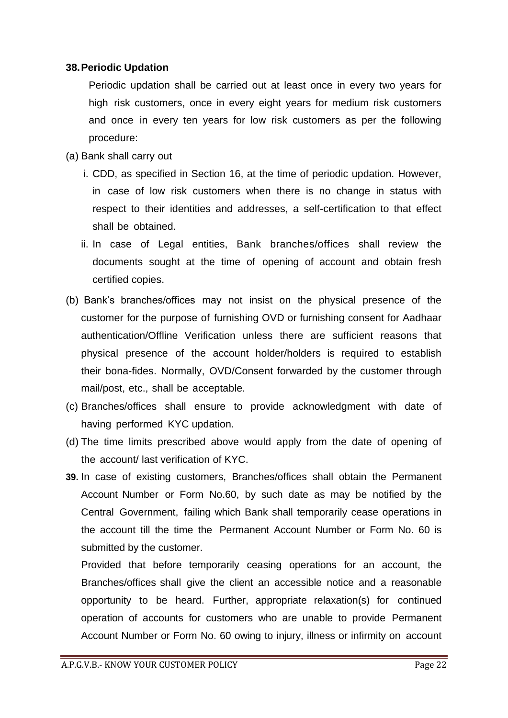#### **38.Periodic Updation**

Periodic updation shall be carried out at least once in every two years for high risk customers, once in every eight years for medium risk customers and once in every ten years for low risk customers as per the following procedure:

- (a) Bank shall carry out
	- i. CDD, as specified in Section 16, at the time of periodic updation. However, in case of low risk customers when there is no change in status with respect to their identities and addresses, a self-certification to that effect shall be obtained.
	- ii. In case of Legal entities, Bank branches/offices shall review the documents sought at the time of opening of account and obtain fresh certified copies.
- (b) Bank's branches/offices may not insist on the physical presence of the customer for the purpose of furnishing OVD or furnishing consent for Aadhaar authentication/Offline Verification unless there are sufficient reasons that physical presence of the account holder/holders is required to establish their bona-fides. Normally, OVD/Consent forwarded by the customer through mail/post, etc., shall be acceptable.
- (c) Branches/offices shall ensure to provide acknowledgment with date of having performed KYC updation.
- (d) The time limits prescribed above would apply from the date of opening of the account/ last verification of KYC.
- **39.** In case of existing customers, Branches/offices shall obtain the Permanent Account Number or Form No.60, by such date as may be notified by the Central Government, failing which Bank shall temporarily cease operations in the account till the time the Permanent Account Number or Form No. 60 is submitted by the customer.

Provided that before temporarily ceasing operations for an account, the Branches/offices shall give the client an accessible notice and a reasonable opportunity to be heard. Further, appropriate relaxation(s) for continued operation of accounts for customers who are unable to provide Permanent Account Number or Form No. 60 owing to injury, illness or infirmity on account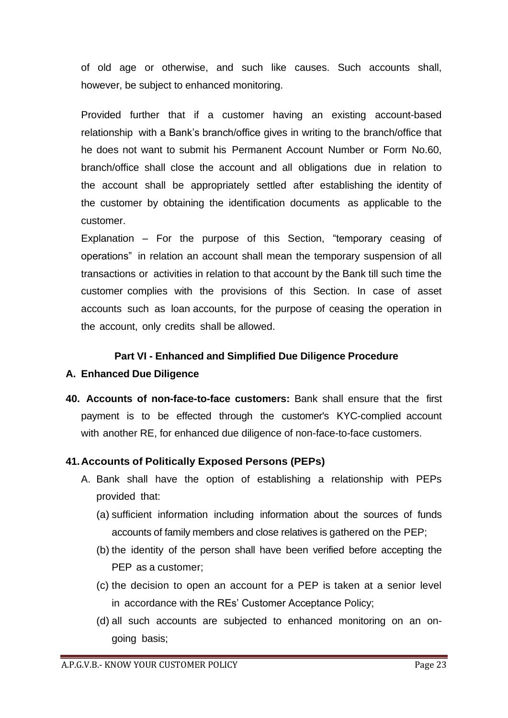of old age or otherwise, and such like causes. Such accounts shall, however, be subject to enhanced monitoring.

Provided further that if a customer having an existing account-based relationship with a Bank's branch/office gives in writing to the branch/office that he does not want to submit his Permanent Account Number or Form No.60, branch/office shall close the account and all obligations due in relation to the account shall be appropriately settled after establishing the identity of the customer by obtaining the identification documents as applicable to the customer.

Explanation – For the purpose of this Section, "temporary ceasing of operations" in relation an account shall mean the temporary suspension of all transactions or activities in relation to that account by the Bank till such time the customer complies with the provisions of this Section. In case of asset accounts such as loan accounts, for the purpose of ceasing the operation in the account, only credits shall be allowed.

#### **Part VI - Enhanced and Simplified Due Diligence Procedure**

#### **A. Enhanced Due Diligence**

**40. Accounts of non-face-to-face customers:** Bank shall ensure that the first payment is to be effected through the customer's KYC-complied account with another RE, for enhanced due diligence of non-face-to-face customers.

#### **41.Accounts of Politically Exposed Persons (PEPs)**

- A. Bank shall have the option of establishing a relationship with PEPs provided that:
	- (a) sufficient information including information about the sources of funds accounts of family members and close relatives is gathered on the PEP;
	- (b) the identity of the person shall have been verified before accepting the PEP as a customer;
	- (c) the decision to open an account for a PEP is taken at a senior level in accordance with the REs' Customer Acceptance Policy;
	- (d) all such accounts are subjected to enhanced monitoring on an ongoing basis;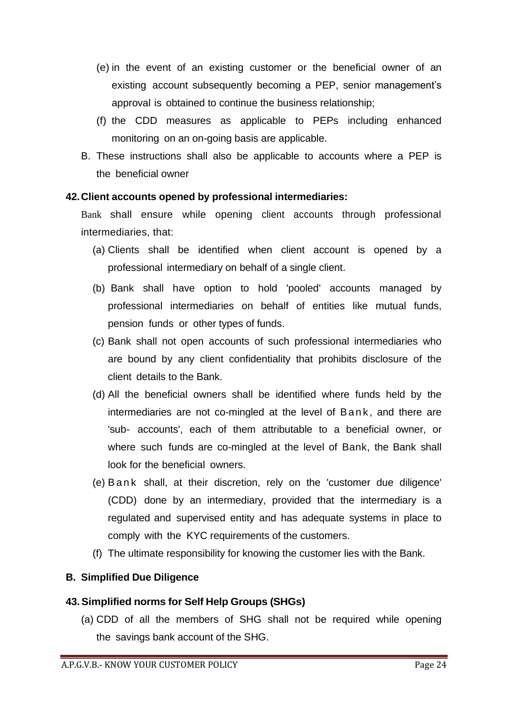- (e) in the event of an existing customer or the beneficial owner of an existing account subsequently becoming a PEP, senior management's approval is obtained to continue the business relationship;
- (f) the CDD measures as applicable to PEPs including enhanced monitoring on an on-going basis are applicable.
- B. These instructions shall also be applicable to accounts where a PEP is the beneficial owner

## **42.Client accounts opened by professional intermediaries:**

Bank shall ensure while opening client accounts through professional intermediaries, that:

- (a) Clients shall be identified when client account is opened by a professional intermediary on behalf of a single client.
- (b) Bank shall have option to hold 'pooled' accounts managed by professional intermediaries on behalf of entities like mutual funds, pension funds or other types of funds.
- (c) Bank shall not open accounts of such professional intermediaries who are bound by any client confidentiality that prohibits disclosure of the client details to the Bank.
- (d) All the beneficial owners shall be identified where funds held by the intermediaries are not co-mingled at the level of Bank, and there are 'sub- accounts', each of them attributable to a beneficial owner, or where such funds are co-mingled at the level of Bank, the Bank shall look for the beneficial owners.
- (e) B a n k shall, at their discretion, rely on the 'customer due diligence' (CDD) done by an intermediary, provided that the intermediary is a regulated and supervised entity and has adequate systems in place to comply with the KYC requirements of the customers.
- (f) The ultimate responsibility for knowing the customer lies with the Bank.

# **B. Simplified Due Diligence**

# **43.Simplified norms for Self Help Groups (SHGs)**

(a) CDD of all the members of SHG shall not be required while opening the savings bank account of the SHG.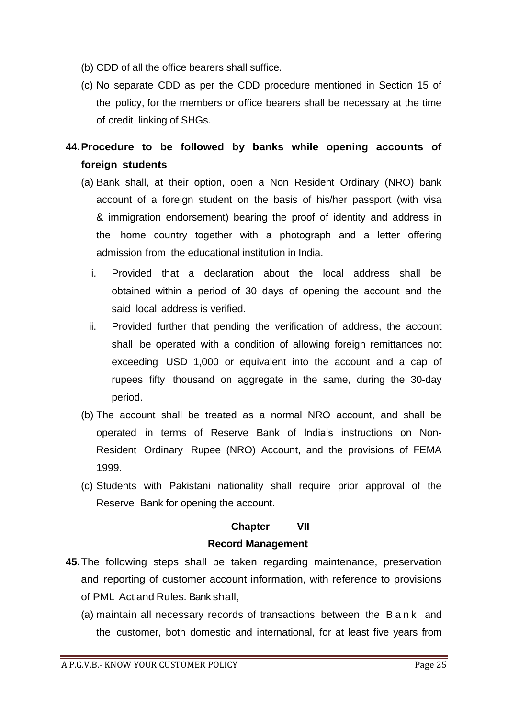- (b) CDD of all the office bearers shall suffice.
- (c) No separate CDD as per the CDD procedure mentioned in Section 15 of the policy, for the members or office bearers shall be necessary at the time of credit linking of SHGs.

**44.Procedure to be followed by banks while opening accounts of foreign students**

- (a) Bank shall, at their option, open a Non Resident Ordinary (NRO) bank account of a foreign student on the basis of his/her passport (with visa & immigration endorsement) bearing the proof of identity and address in the home country together with a photograph and a letter offering admission from the educational institution in India.
	- i. Provided that a declaration about the local address shall be obtained within a period of 30 days of opening the account and the said local address is verified.
	- ii. Provided further that pending the verification of address, the account shall be operated with a condition of allowing foreign remittances not exceeding USD 1,000 or equivalent into the account and a cap of rupees fifty thousand on aggregate in the same, during the 30-day period.
- (b) The account shall be treated as a normal NRO account, and shall be operated in terms of Reserve Bank of India's instructions on Non-Resident Ordinary Rupee (NRO) Account, and the provisions of FEMA 1999.
- (c) Students with Pakistani nationality shall require prior approval of the Reserve Bank for opening the account.

# **Chapter VII Record Management**

- **45.**The following steps shall be taken regarding maintenance, preservation and reporting of customer account information, with reference to provisions of PML Act and Rules. Bank shall,
	- (a) maintain all necessary records of transactions between the B a n k and the customer, both domestic and international, for at least five years from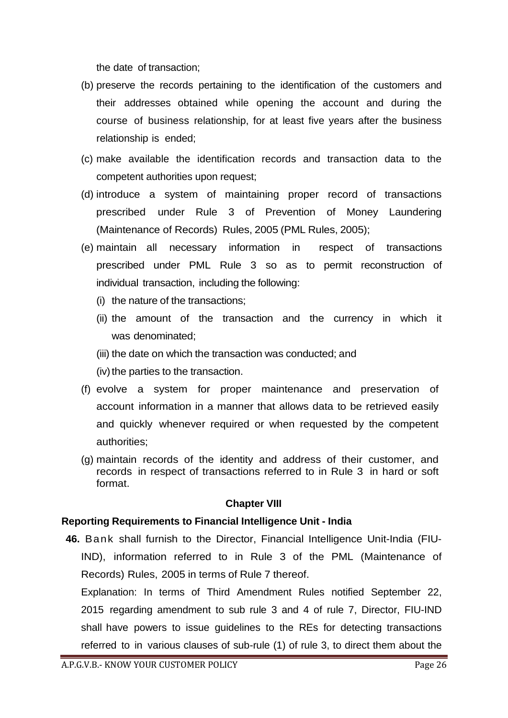the date of transaction;

- (b) preserve the records pertaining to the identification of the customers and their addresses obtained while opening the account and during the course of business relationship, for at least five years after the business relationship is ended;
- (c) make available the identification records and transaction data to the competent authorities upon request;
- (d) introduce a system of maintaining proper record of transactions prescribed under Rule 3 of Prevention of Money Laundering (Maintenance of Records) Rules, 2005 (PML Rules, 2005);
- (e) maintain all necessary information in respect of transactions prescribed under PML Rule 3 so as to permit reconstruction of individual transaction, including the following:
	- (i) the nature of the transactions;
	- (ii) the amount of the transaction and the currency in which it was denominated;
	- (iii) the date on which the transaction was conducted; and
	- (iv) the parties to the transaction.
- (f) evolve a system for proper maintenance and preservation of account information in a manner that allows data to be retrieved easily and quickly whenever required or when requested by the competent authorities;
- (g) maintain records of the identity and address of their customer, and records in respect of transactions referred to in Rule 3 in hard or soft format.

# **Chapter VIII**

## **Reporting Requirements to Financial Intelligence Unit - India**

**46.** Bank shall furnish to the Director, Financial Intelligence Unit-India (FIU-IND), information referred to in Rule 3 of the PML (Maintenance of Records) Rules, 2005 in terms of Rule 7 thereof.

Explanation: In terms of Third Amendment Rules notified September 22, 2015 regarding amendment to sub rule 3 and 4 of rule 7, Director, FIU-IND shall have powers to issue guidelines to the REs for detecting transactions referred to in various clauses of sub-rule (1) of rule 3, to direct them about the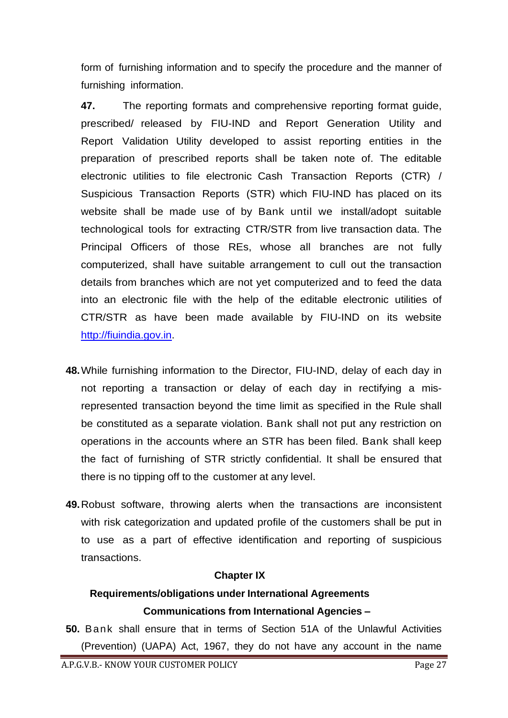form of furnishing information and to specify the procedure and the manner of furnishing information.

**47.** The reporting formats and comprehensive reporting format guide, prescribed/ released by FIU-IND and Report Generation Utility and Report Validation Utility developed to assist reporting entities in the preparation of prescribed reports shall be taken note of. The editable electronic utilities to file electronic Cash Transaction Reports (CTR) / Suspicious Transaction Reports (STR) which FIU-IND has placed on its website shall be made use of by Bank until we install/adopt suitable technological tools for extracting CTR/STR from live transaction data. The Principal Officers of those REs, whose all branches are not fully computerized, shall have suitable arrangement to cull out the transaction details from branches which are not yet computerized and to feed the data into an electronic file with the help of the editable electronic utilities of CTR/STR as have been made available by FIU-IND on its website [http://fiuindia.gov.in.](http://fiuindia.gov.in/)

- **48.**While furnishing information to the Director, FIU-IND, delay of each day in not reporting a transaction or delay of each day in rectifying a misrepresented transaction beyond the time limit as specified in the Rule shall be constituted as a separate violation. Bank shall not put any restriction on operations in the accounts where an STR has been filed. Bank shall keep the fact of furnishing of STR strictly confidential. It shall be ensured that there is no tipping off to the customer at any level.
- **49.**Robust software, throwing alerts when the transactions are inconsistent with risk categorization and updated profile of the customers shall be put in to use as a part of effective identification and reporting of suspicious transactions.

## **Chapter IX**

# **Requirements/obligations under International Agreements Communications from International Agencies –**

**50.** Bank shall ensure that in terms of Section 51A of the Unlawful Activities (Prevention) (UAPA) Act, 1967, they do not have any account in the name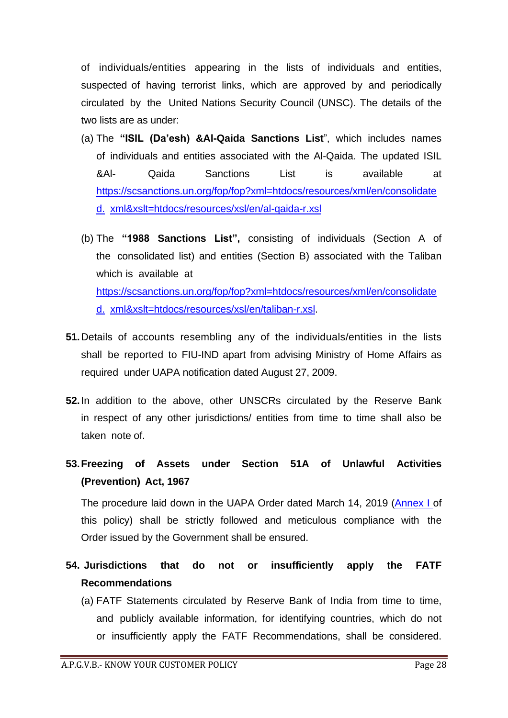of individuals/entities appearing in the lists of individuals and entities, suspected of having terrorist links, which are approved by and periodically circulated by the United Nations Security Council (UNSC). The details of the two lists are as under:

- (a) The **"ISIL (Da'esh) &Al-Qaida Sanctions List**", which includes names of individuals and entities associated with the Al-Qaida. The updated ISIL &Al- Qaida Sanctions List is available at https://scsanctions.un.org/fop/fop?xml=htdocs/resources/xml/en/consolidate d. xml&xslt=htdocs/resources/xsl/en/al-qaida-r.xsl
- (b) The **"1988 Sanctions List",** consisting of individuals (Section A of the consolidated list) and entities (Section B) associated with the Taliban which is available at https://scsanctions.un.org/fop/fop?xml=htdocs/resources/xml/en/consolidate d. xml&xslt=htdocs/resources/xsl/en/taliban-r.xsl.
- **51.**Details of accounts resembling any of the individuals/entities in the lists shall be reported to FIU-IND apart from advising Ministry of Home Affairs as required under UAPA notification dated August 27, 2009.
- **52.**In addition to the above, other UNSCRs circulated by the Reserve Bank in respect of any other jurisdictions/ entities from time to time shall also be taken note of.
- **53.Freezing of Assets under Section 51A of Unlawful Activities (Prevention) Act, 1967**

The procedure laid down in the UAPA Order dated March 14, 2019 (Annex I of this policy) shall be strictly followed and meticulous compliance with the Order issued by the Government shall be ensured.

- **54. Jurisdictions that do not or insufficiently apply the FATF Recommendations**
	- (a) FATF Statements circulated by Reserve Bank of India from time to time, and publicly available information, for identifying countries, which do not or insufficiently apply the FATF Recommendations, shall be considered.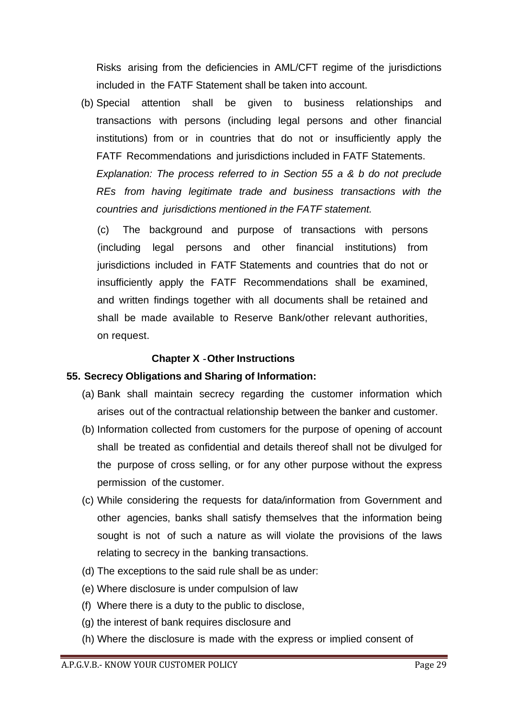Risks arising from the deficiencies in AML/CFT regime of the jurisdictions included in the FATF Statement shall be taken into account.

(b) Special attention shall be given to business relationships and transactions with persons (including legal persons and other financial institutions) from or in countries that do not or insufficiently apply the FATF Recommendations and jurisdictions included in FATF Statements.

*Explanation: The process referred to in Section 55 a & b do not preclude REs from having legitimate trade and business transactions with the countries and jurisdictions mentioned in the FATF statement.*

(c) The background and purpose of transactions with persons (including legal persons and other financial institutions) from jurisdictions included in FATF Statements and countries that do not or insufficiently apply the FATF Recommendations shall be examined, and written findings together with all documents shall be retained and shall be made available to Reserve Bank/other relevant authorities, on request.

#### **Chapter X -Other Instructions**

## **55. Secrecy Obligations and Sharing of Information:**

- (a) Bank shall maintain secrecy regarding the customer information which arises out of the contractual relationship between the banker and customer.
- (b) Information collected from customers for the purpose of opening of account shall be treated as confidential and details thereof shall not be divulged for the purpose of cross selling, or for any other purpose without the express permission of the customer.
- (c) While considering the requests for data/information from Government and other agencies, banks shall satisfy themselves that the information being sought is not of such a nature as will violate the provisions of the laws relating to secrecy in the banking transactions.
- (d) The exceptions to the said rule shall be as under:
- (e) Where disclosure is under compulsion of law
- (f) Where there is a duty to the public to disclose,
- (g) the interest of bank requires disclosure and
- (h) Where the disclosure is made with the express or implied consent of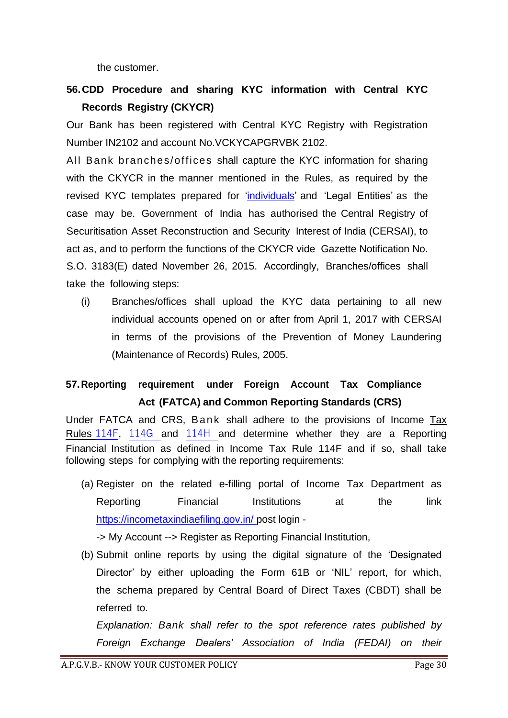the customer.

# **56.CDD Procedure and sharing KYC information with Central KYC Records Registry (CKYCR)**

Our Bank has been registered with Central KYC Registry with Registration Number IN2102 and account No.VCKYCAPGRVBK 2102.

All Bank branches/offices shall capture the KYC information for sharing with the CKYCR in the manner mentioned in the Rules, as required by the revised KYC templates prepared for 'individuals' and 'Legal Entities' as the case may be. Government of India has authorised the Central Registry of Securitisation Asset Reconstruction and Security Interest of India (CERSAI), to act as, and to perform the functions of the CKYCR vide Gazette Notification No. S.O. 3183(E) dated November 26, 2015. Accordingly, Branches/offices shall take the following steps:

(i) Branches/offices shall upload the KYC data pertaining to all new individual accounts opened on or after from April 1, 2017 with CERSAI in terms of the provisions of the Prevention of Money Laundering (Maintenance of Records) Rules, 2005.

# **57.Reporting requirement under Foreign Account Tax Compliance Act (FATCA) and Common Reporting Standards (CRS)**

Under FATCA and CRS, Bank shall adhere to the provisions of Income Tax Rules 114F, 114G and 114H and determine whether they are a Reporting Financial Institution as defined in Income Tax Rule 114F and if so, shall take following steps for complying with the reporting requirements:

(a) Register on the related e-filling portal of Income Tax Department as Reporting Financial Institutions at the link https://incometaxindiaefiling.gov.in/ post login -

-> My Account --> Register as Reporting Financial Institution,

(b) Submit online reports by using the digital signature of the 'Designated Director' by either uploading the Form 61B or 'NIL' report, for which, the schema prepared by Central Board of Direct Taxes (CBDT) shall be referred to.

*Explanation: Bank shall refer to the spot reference rates published by Foreign Exchange Dealers' Association of India (FEDAI) on their*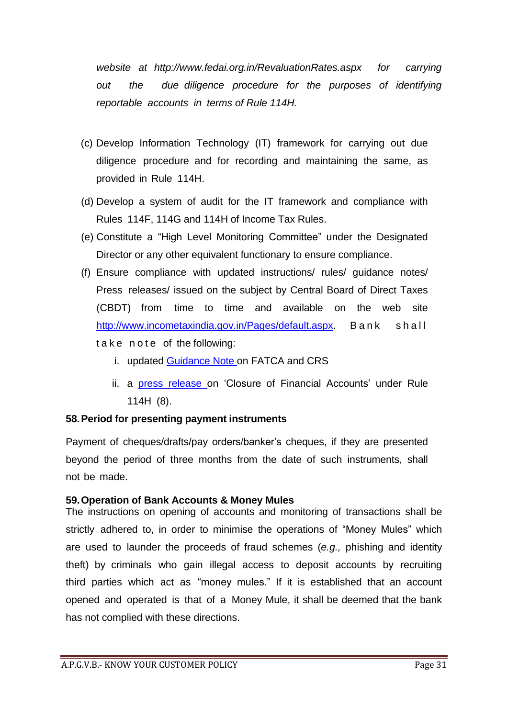*website at [http://www.fedai.org.in/RevaluationRates.aspx f](http://www.fedai.org.in/RevaluationRates.aspx)or carrying out the due diligence procedure for the purposes of identifying reportable accounts in terms of Rule 114H.*

- (c) Develop Information Technology (IT) framework for carrying out due diligence procedure and for recording and maintaining the same, as provided in Rule 114H.
- (d) Develop a system of audit for the IT framework and compliance with Rules 114F, 114G and 114H of Income Tax Rules.
- (e) Constitute a "High Level Monitoring Committee" under the Designated Director or any other equivalent functionary to ensure compliance.
- (f) Ensure compliance with updated instructions/ rules/ guidance notes/ Press releases/ issued on the subject by Central Board of Direct Taxes (CBDT) from time to time and available on the web site [http://www.incometaxindia.gov.in/Pages/default.aspx.](http://www.incometaxindia.gov.in/Pages/default.aspx) Bank shall take note of the following:
	- i. updated Guidance Note on FATCA and CRS
	- ii. a press release on 'Closure of Financial Accounts' under Rule 114H (8).

## **58.Period for presenting payment instruments**

Payment of cheques/drafts/pay orders/banker's cheques, if they are presented beyond the period of three months from the date of such instruments, shall not be made.

#### **59.Operation of Bank Accounts & Money Mules**

The instructions on opening of accounts and monitoring of transactions shall be strictly adhered to, in order to minimise the operations of "Money Mules" which are used to launder the proceeds of fraud schemes (*e.g.,* phishing and identity theft) by criminals who gain illegal access to deposit accounts by recruiting third parties which act as "money mules." If it is established that an account opened and operated is that of a Money Mule, it shall be deemed that the bank has not complied with these directions.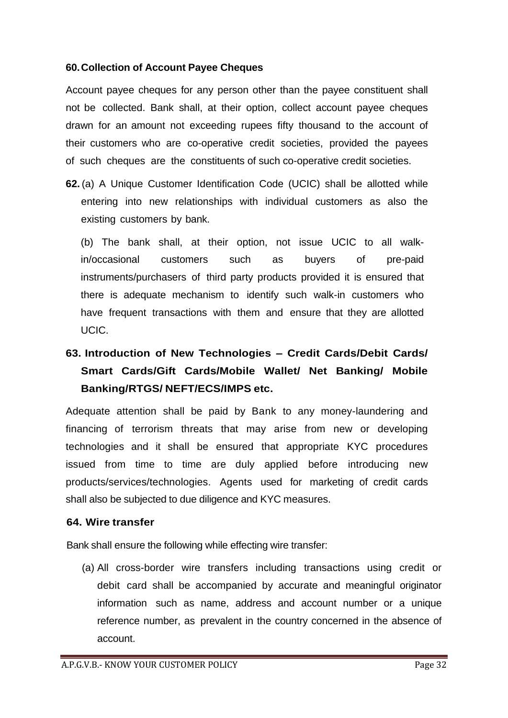#### **60.Collection of Account Payee Cheques**

Account payee cheques for any person other than the payee constituent shall not be collected. Bank shall, at their option, collect account payee cheques drawn for an amount not exceeding rupees fifty thousand to the account of their customers who are co-operative credit societies, provided the payees of such cheques are the constituents of such co-operative credit societies.

**62.** (a) A Unique Customer Identification Code (UCIC) shall be allotted while entering into new relationships with individual customers as also the existing customers by bank.

(b) The bank shall, at their option, not issue UCIC to all walkin/occasional customers such as buyers of pre-paid instruments/purchasers of third party products provided it is ensured that there is adequate mechanism to identify such walk-in customers who have frequent transactions with them and ensure that they are allotted UCIC.

# **63. Introduction of New Technologies – Credit Cards/Debit Cards/ Smart Cards/Gift Cards/Mobile Wallet/ Net Banking/ Mobile Banking/RTGS/ NEFT/ECS/IMPS etc.**

Adequate attention shall be paid by Bank to any money-laundering and financing of terrorism threats that may arise from new or developing technologies and it shall be ensured that appropriate KYC procedures issued from time to time are duly applied before introducing new products/services/technologies. Agents used for marketing of credit cards shall also be subjected to due diligence and KYC measures.

#### **64. Wire transfer**

Bank shall ensure the following while effecting wire transfer:

(a) All cross-border wire transfers including transactions using credit or debit card shall be accompanied by accurate and meaningful originator information such as name, address and account number or a unique reference number, as prevalent in the country concerned in the absence of account.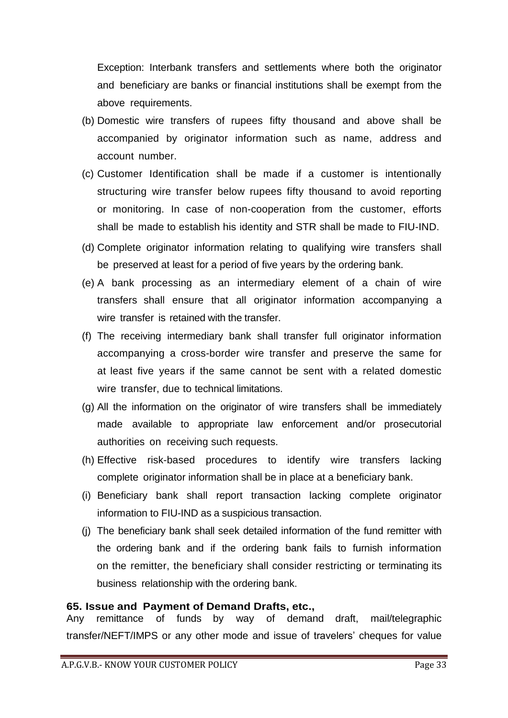Exception: Interbank transfers and settlements where both the originator and beneficiary are banks or financial institutions shall be exempt from the above requirements.

- (b) Domestic wire transfers of rupees fifty thousand and above shall be accompanied by originator information such as name, address and account number.
- (c) Customer Identification shall be made if a customer is intentionally structuring wire transfer below rupees fifty thousand to avoid reporting or monitoring. In case of non-cooperation from the customer, efforts shall be made to establish his identity and STR shall be made to FIU-IND.
- (d) Complete originator information relating to qualifying wire transfers shall be preserved at least for a period of five years by the ordering bank.
- (e) A bank processing as an intermediary element of a chain of wire transfers shall ensure that all originator information accompanying a wire transfer is retained with the transfer.
- (f) The receiving intermediary bank shall transfer full originator information accompanying a cross-border wire transfer and preserve the same for at least five years if the same cannot be sent with a related domestic wire transfer, due to technical limitations.
- (g) All the information on the originator of wire transfers shall be immediately made available to appropriate law enforcement and/or prosecutorial authorities on receiving such requests.
- (h) Effective risk-based procedures to identify wire transfers lacking complete originator information shall be in place at a beneficiary bank.
- (i) Beneficiary bank shall report transaction lacking complete originator information to FIU-IND as a suspicious transaction.
- (j) The beneficiary bank shall seek detailed information of the fund remitter with the ordering bank and if the ordering bank fails to furnish information on the remitter, the beneficiary shall consider restricting or terminating its business relationship with the ordering bank.

## **65. Issue and Payment of Demand Drafts, etc.,**

Any remittance of funds by way of demand draft, mail/telegraphic transfer/NEFT/IMPS or any other mode and issue of travelers' cheques for value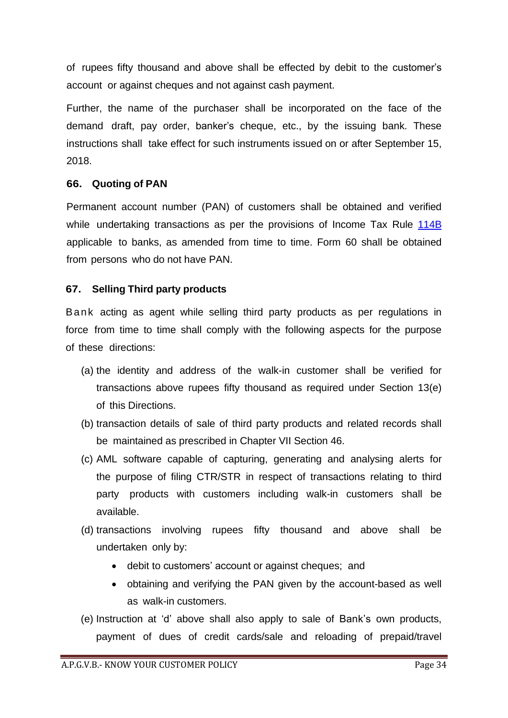of rupees fifty thousand and above shall be effected by debit to the customer's account or against cheques and not against cash payment.

Further, the name of the purchaser shall be incorporated on the face of the demand draft, pay order, banker's cheque, etc., by the issuing bank. These instructions shall take effect for such instruments issued on or after September 15, 2018.

# **66. Quoting of PAN**

Permanent account number (PAN) of customers shall be obtained and verified while undertaking transactions as per the provisions of Income Tax Rule 114B applicable to banks, as amended from time to time. Form 60 shall be obtained from persons who do not have PAN.

# **67. Selling Third party products**

Bank acting as agent while selling third party products as per regulations in force from time to time shall comply with the following aspects for the purpose of these directions:

- (a) the identity and address of the walk-in customer shall be verified for transactions above rupees fifty thousand as required under Section 13(e) of this Directions.
- (b) transaction details of sale of third party products and related records shall be maintained as prescribed in Chapter VII Section 46.
- (c) AML software capable of capturing, generating and analysing alerts for the purpose of filing CTR/STR in respect of transactions relating to third party products with customers including walk-in customers shall be available.
- (d) transactions involving rupees fifty thousand and above shall be undertaken only by:
	- debit to customers' account or against cheques; and
	- obtaining and verifying the PAN given by the account-based as well as walk-in customers.
- (e) Instruction at 'd' above shall also apply to sale of Bank's own products, payment of dues of credit cards/sale and reloading of prepaid/travel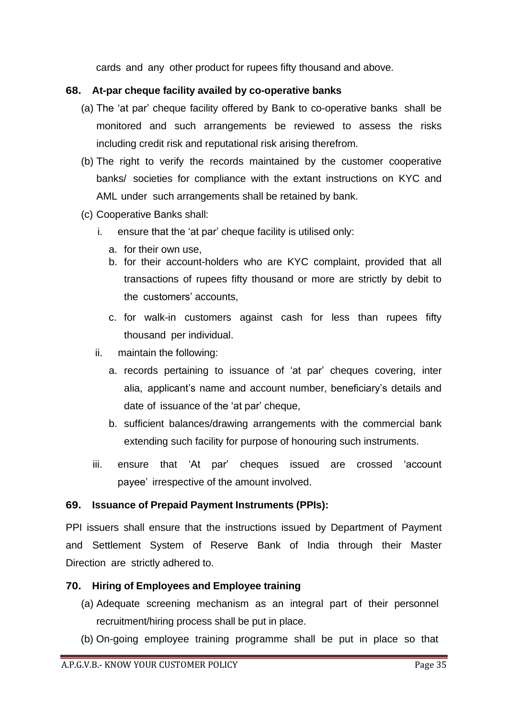cards and any other product for rupees fifty thousand and above.

## **68. At-par cheque facility availed by co-operative banks**

- (a) The 'at par' cheque facility offered by Bank to co-operative banks shall be monitored and such arrangements be reviewed to assess the risks including credit risk and reputational risk arising therefrom.
- (b) The right to verify the records maintained by the customer cooperative banks/ societies for compliance with the extant instructions on KYC and AML under such arrangements shall be retained by bank.
- (c) Cooperative Banks shall:
	- i. ensure that the 'at par' cheque facility is utilised only:
		- a. for their own use,
		- b. for their account-holders who are KYC complaint, provided that all transactions of rupees fifty thousand or more are strictly by debit to the customers' accounts,
		- c. for walk-in customers against cash for less than rupees fifty thousand per individual.
	- ii. maintain the following:
		- a. records pertaining to issuance of 'at par' cheques covering, inter alia, applicant's name and account number, beneficiary's details and date of issuance of the 'at par' cheque,
		- b. sufficient balances/drawing arrangements with the commercial bank extending such facility for purpose of honouring such instruments.
	- iii. ensure that 'At par' cheques issued are crossed 'account payee' irrespective of the amount involved.

# **69. Issuance of Prepaid Payment Instruments (PPIs):**

PPI issuers shall ensure that the instructions issued by Department of Payment and Settlement System of Reserve Bank of India through their Master Direction are strictly adhered to.

## **70. Hiring of Employees and Employee training**

- (a) Adequate screening mechanism as an integral part of their personnel recruitment/hiring process shall be put in place.
- (b) On-going employee training programme shall be put in place so that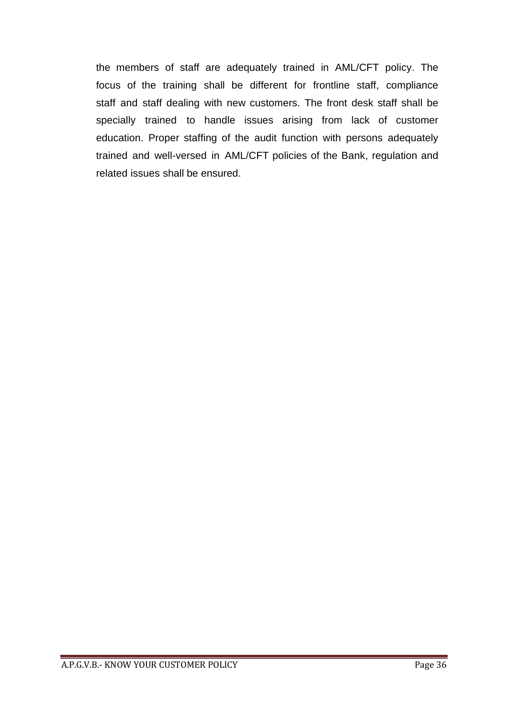the members of staff are adequately trained in AML/CFT policy. The focus of the training shall be different for frontline staff, compliance staff and staff dealing with new customers. The front desk staff shall be specially trained to handle issues arising from lack of customer education. Proper staffing of the audit function with persons adequately trained and well-versed in AML/CFT policies of the Bank, regulation and related issues shall be ensured.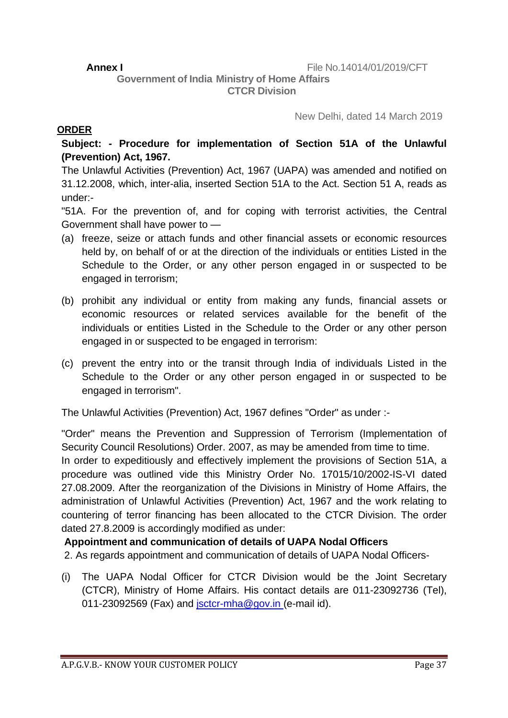**Government of India Ministry of Home Affairs CTCR Division**

New Delhi, dated 14 March 2019

## **ORDER**

**Subject: - Procedure for implementation of Section 51A of the Unlawful (Prevention) Act, 1967.**

The Unlawful Activities (Prevention) Act, 1967 (UAPA) was amended and notified on 31.12.2008, which, inter-alia, inserted Section 51A to the Act. Section 51 A, reads as under:-

"51A. For the prevention of, and for coping with terrorist activities, the Central Government shall have power to —

- (a) freeze, seize or attach funds and other financial assets or economic resources held by, on behalf of or at the direction of the individuals or entities Listed in the Schedule to the Order, or any other person engaged in or suspected to be engaged in terrorism;
- (b) prohibit any individual or entity from making any funds, financial assets or economic resources or related services available for the benefit of the individuals or entities Listed in the Schedule to the Order or any other person engaged in or suspected to be engaged in terrorism:
- (c) prevent the entry into or the transit through India of individuals Listed in the Schedule to the Order or any other person engaged in or suspected to be engaged in terrorism".

The Unlawful Activities (Prevention) Act, 1967 defines "Order" as under :-

"Order" means the Prevention and Suppression of Terrorism (Implementation of Security Council Resolutions) Order. 2007, as may be amended from time to time.

In order to expeditiously and effectively implement the provisions of Section 51A, a procedure was outlined vide this Ministry Order No. 17015/10/2002-IS-VI dated 27.08.2009. After the reorganization of the Divisions in Ministry of Home Affairs, the administration of Unlawful Activities (Prevention) Act, 1967 and the work relating to countering of terror financing has been allocated to the CTCR Division. The order dated 27.8.2009 is accordingly modified as under:

## **Appointment and communication of details of UAPA Nodal Officers**

2. As regards appointment and communication of details of UAPA Nodal Officers-

(i) The UAPA Nodal Officer for CTCR Division would be the Joint Secretary (CTCR), Ministry of Home Affairs. His contact details are 011-23092736 (Tel), 011-23092569 (Fax) and  $\frac{1}{12}$  isctcr-mha@gov.in (e-mail id).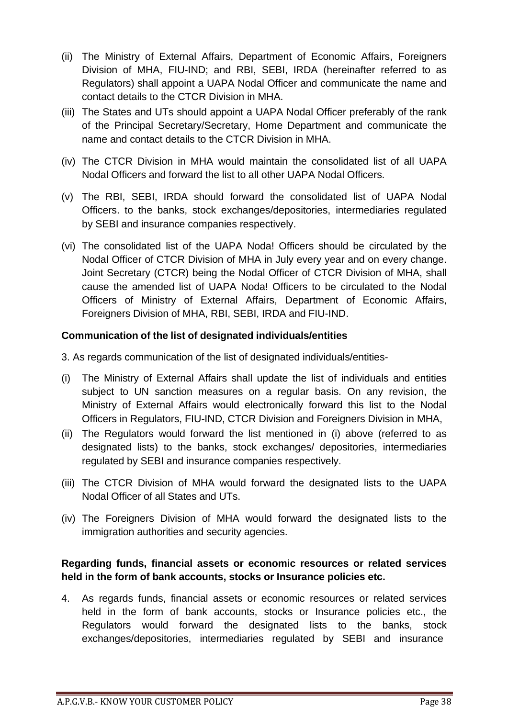- (ii) The Ministry of External Affairs, Department of Economic Affairs, Foreigners Division of MHA, FIU-IND; and RBI, SEBI, IRDA (hereinafter referred to as Regulators) shall appoint a UAPA Nodal Officer and communicate the name and contact details to the CTCR Division in MHA.
- (iii) The States and UTs should appoint a UAPA Nodal Officer preferably of the rank of the Principal Secretary/Secretary, Home Department and communicate the name and contact details to the CTCR Division in MHA.
- (iv) The CTCR Division in MHA would maintain the consolidated list of all UAPA Nodal Officers and forward the list to all other UAPA Nodal Officers.
- (v) The RBI, SEBI, IRDA should forward the consolidated list of UAPA Nodal Officers. to the banks, stock exchanges/depositories, intermediaries regulated by SEBI and insurance companies respectively.
- (vi) The consolidated list of the UAPA Noda! Officers should be circulated by the Nodal Officer of CTCR Division of MHA in July every year and on every change. Joint Secretary (CTCR) being the Nodal Officer of CTCR Division of MHA, shall cause the amended list of UAPA Noda! Officers to be circulated to the Nodal Officers of Ministry of External Affairs, Department of Economic Affairs, Foreigners Division of MHA, RBI, SEBI, IRDA and FIU-IND.

## **Communication of the list of designated individuals/entities**

3. As regards communication of the list of designated individuals/entities-

- (i) The Ministry of External Affairs shall update the list of individuals and entities subject to UN sanction measures on a regular basis. On any revision, the Ministry of External Affairs would electronically forward this list to the Nodal Officers in Regulators, FIU-IND, CTCR Division and Foreigners Division in MHA,
- (ii) The Regulators would forward the list mentioned in (i) above (referred to as designated lists) to the banks, stock exchanges/ depositories, intermediaries regulated by SEBI and insurance companies respectively.
- (iii) The CTCR Division of MHA would forward the designated lists to the UAPA Nodal Officer of all States and UTs.
- (iv) The Foreigners Division of MHA would forward the designated lists to the immigration authorities and security agencies.

# **Regarding funds, financial assets or economic resources or related services held in the form of bank accounts, stocks or Insurance policies etc.**

4. As regards funds, financial assets or economic resources or related services held in the form of bank accounts, stocks or Insurance policies etc., the Regulators would forward the designated lists to the banks, stock exchanges/depositories, intermediaries regulated by SEBI and insurance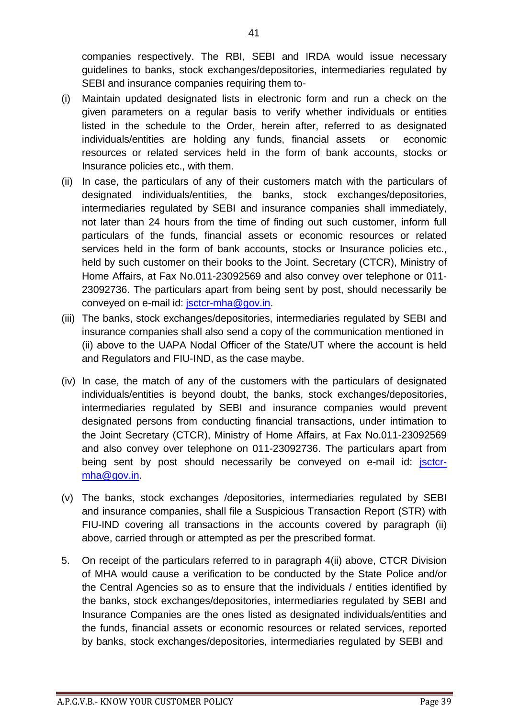companies respectively. The RBI, SEBI and IRDA would issue necessary guidelines to banks, stock exchanges/depositories, intermediaries regulated by SEBI and insurance companies requiring them to-

- (i) Maintain updated designated lists in electronic form and run a check on the given parameters on a regular basis to verify whether individuals or entities listed in the schedule to the Order, herein after, referred to as designated individuals/entities are holding any funds, financial assets or economic resources or related services held in the form of bank accounts, stocks or Insurance policies etc., with them.
- (ii) In case, the particulars of any of their customers match with the particulars of designated individuals/entities, the banks, stock exchanges/depositories, intermediaries regulated by SEBI and insurance companies shall immediately, not later than 24 hours from the time of finding out such customer, inform full particulars of the funds, financial assets or economic resources or related services held in the form of bank accounts, stocks or Insurance policies etc., held by such customer on their books to the Joint. Secretary (CTCR), Ministry of Home Affairs, at Fax No.011-23092569 and also convey over telephone or 011- 23092736. The particulars apart from being sent by post, should necessarily be conveyed on e-mail id: [jsctcr-mha@gov.in.](mailto:jsctcr-mha@gov.in)
- (iii) The banks, stock exchanges/depositories, intermediaries regulated by SEBI and insurance companies shall also send a copy of the communication mentioned in (ii) above to the UAPA Nodal Officer of the State/UT where the account is held and Regulators and FIU-IND, as the case maybe.
- (iv) In case, the match of any of the customers with the particulars of designated individuals/entities is beyond doubt, the banks, stock exchanges/depositories, intermediaries regulated by SEBI and insurance companies would prevent designated persons from conducting financial transactions, under intimation to the Joint Secretary (CTCR), Ministry of Home Affairs, at Fax No.011-23092569 and also convey over telephone on 011-23092736. The particulars apart from being sent by post should necessarily be conveyed on e-mail id: *jsctcr*[mha@gov.in.](mailto:mha@gov.in)
- (v) The banks, stock exchanges /depositories, intermediaries regulated by SEBI and insurance companies, shall file a Suspicious Transaction Report (STR) with FIU-IND covering all transactions in the accounts covered by paragraph (ii) above, carried through or attempted as per the prescribed format.
- 5. On receipt of the particulars referred to in paragraph 4(ii) above, CTCR Division of MHA would cause a verification to be conducted by the State Police and/or the Central Agencies so as to ensure that the individuals / entities identified by the banks, stock exchanges/depositories, intermediaries regulated by SEBI and Insurance Companies are the ones listed as designated individuals/entities and the funds, financial assets or economic resources or related services, reported by banks, stock exchanges/depositories, intermediaries regulated by SEBI and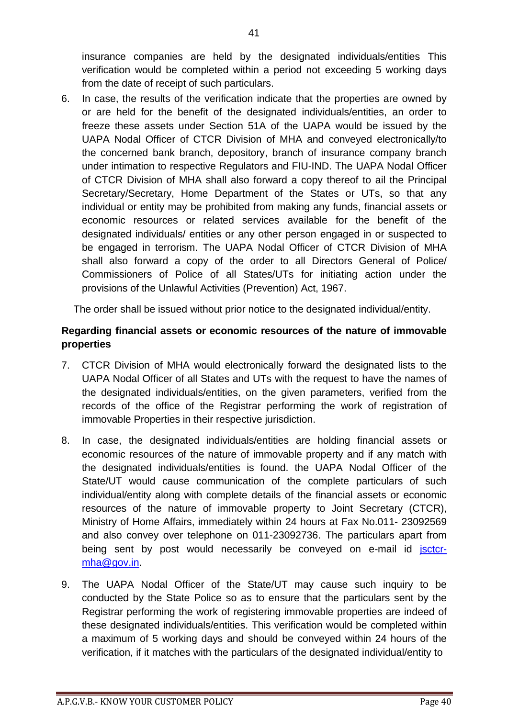insurance companies are held by the designated individuals/entities This verification would be completed within a period not exceeding 5 working days from the date of receipt of such particulars.

6. In case, the results of the verification indicate that the properties are owned by or are held for the benefit of the designated individuals/entities, an order to freeze these assets under Section 51A of the UAPA would be issued by the UAPA Nodal Officer of CTCR Division of MHA and conveyed electronically/to the concerned bank branch, depository, branch of insurance company branch under intimation to respective Regulators and FIU-IND. The UAPA Nodal Officer of CTCR Division of MHA shall also forward a copy thereof to ail the Principal Secretary/Secretary, Home Department of the States or UTs, so that any individual or entity may be prohibited from making any funds, financial assets or economic resources or related services available for the benefit of the designated individuals/ entities or any other person engaged in or suspected to be engaged in terrorism. The UAPA Nodal Officer of CTCR Division of MHA shall also forward a copy of the order to all Directors General of Police/ Commissioners of Police of all States/UTs for initiating action under the provisions of the Unlawful Activities (Prevention) Act, 1967.

The order shall be issued without prior notice to the designated individual/entity.

## **Regarding financial assets or economic resources of the nature of immovable properties**

- 7. CTCR Division of MHA would electronically forward the designated lists to the UAPA Nodal Officer of all States and UTs with the request to have the names of the designated individuals/entities, on the given parameters, verified from the records of the office of the Registrar performing the work of registration of immovable Properties in their respective jurisdiction.
- 8. In case, the designated individuals/entities are holding financial assets or economic resources of the nature of immovable property and if any match with the designated individuals/entities is found. the UAPA Nodal Officer of the State/UT would cause communication of the complete particulars of such individual/entity along with complete details of the financial assets or economic resources of the nature of immovable property to Joint Secretary (CTCR), Ministry of Home Affairs, immediately within 24 hours at Fax No.011- 23092569 and also convey over telephone on 011-23092736. The particulars apart from being sent by post would necessarily be conveyed on e-mail id jsctcr[mha@gov.in.](mailto:mha@gov.in)
- 9. The UAPA Nodal Officer of the State/UT may cause such inquiry to be conducted by the State Police so as to ensure that the particulars sent by the Registrar performing the work of registering immovable properties are indeed of these designated individuals/entities. This verification would be completed within a maximum of 5 working days and should be conveyed within 24 hours of the verification, if it matches with the particulars of the designated individual/entity to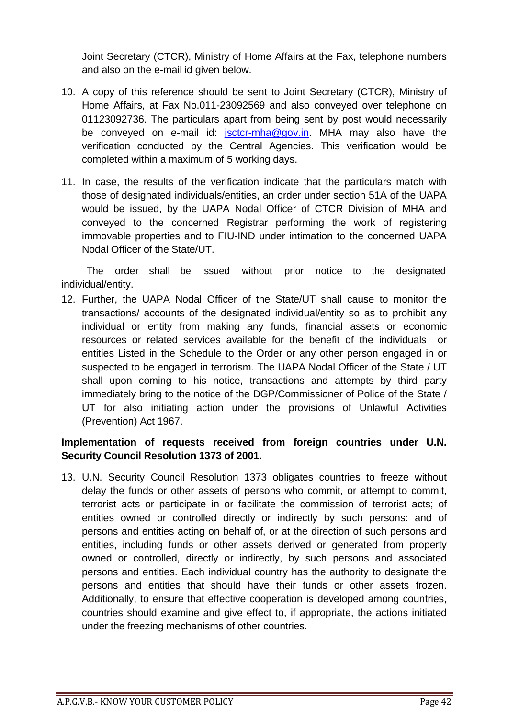Joint Secretary (CTCR), Ministry of Home Affairs at the Fax, telephone numbers and also on the e-mail id given below.

- 10. A copy of this reference should be sent to Joint Secretary (CTCR), Ministry of Home Affairs, at Fax No.011-23092569 and also conveyed over telephone on 01123092736. The particulars apart from being sent by post would necessarily be conveyed on e-mail id: [jsctcr-mha@gov.in.](mailto:jsctcr-mha@gov.in) MHA may also have the verification conducted by the Central Agencies. This verification would be completed within a maximum of 5 working days.
- 11. In case, the results of the verification indicate that the particulars match with those of designated individuals/entities, an order under section 51A of the UAPA would be issued, by the UAPA Nodal Officer of CTCR Division of MHA and conveyed to the concerned Registrar performing the work of registering immovable properties and to FIU-IND under intimation to the concerned UAPA Nodal Officer of the State/UT.

The order shall be issued without prior notice to the designated individual/entity.

12. Further, the UAPA Nodal Officer of the State/UT shall cause to monitor the transactions/ accounts of the designated individual/entity so as to prohibit any individual or entity from making any funds, financial assets or economic resources or related services available for the benefit of the individuals or entities Listed in the Schedule to the Order or any other person engaged in or suspected to be engaged in terrorism. The UAPA Nodal Officer of the State / UT shall upon coming to his notice, transactions and attempts by third party immediately bring to the notice of the DGP/Commissioner of Police of the State / UT for also initiating action under the provisions of Unlawful Activities (Prevention) Act 1967.

# **Implementation of requests received from foreign countries under U.N. Security Council Resolution 1373 of 2001.**

13. U.N. Security Council Resolution 1373 obligates countries to freeze without delay the funds or other assets of persons who commit, or attempt to commit, terrorist acts or participate in or facilitate the commission of terrorist acts; of entities owned or controlled directly or indirectly by such persons: and of persons and entities acting on behalf of, or at the direction of such persons and entities, including funds or other assets derived or generated from property owned or controlled, directly or indirectly, by such persons and associated persons and entities. Each individual country has the authority to designate the persons and entities that should have their funds or other assets frozen. Additionally, to ensure that effective cooperation is developed among countries, countries should examine and give effect to, if appropriate, the actions initiated under the freezing mechanisms of other countries.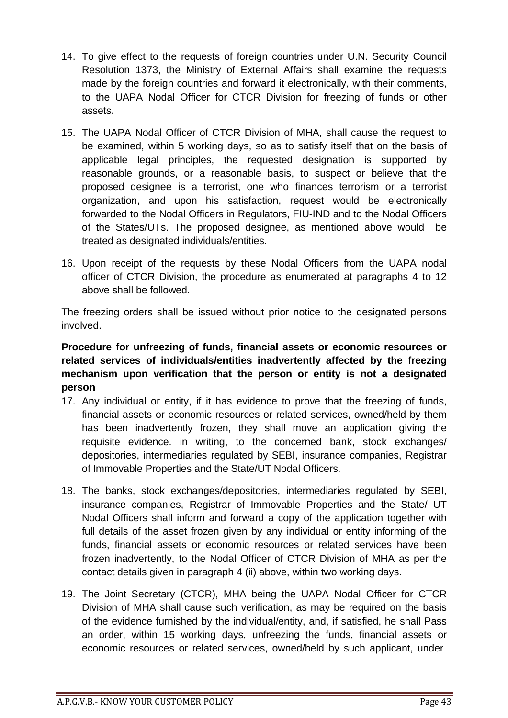- 14. To give effect to the requests of foreign countries under U.N. Security Council Resolution 1373, the Ministry of External Affairs shall examine the requests made by the foreign countries and forward it electronically, with their comments, to the UAPA Nodal Officer for CTCR Division for freezing of funds or other assets.
- 15. The UAPA Nodal Officer of CTCR Division of MHA, shall cause the request to be examined, within 5 working days, so as to satisfy itself that on the basis of applicable legal principles, the requested designation is supported by reasonable grounds, or a reasonable basis, to suspect or believe that the proposed designee is a terrorist, one who finances terrorism or a terrorist organization, and upon his satisfaction, request would be electronically forwarded to the Nodal Officers in Regulators, FIU-IND and to the Nodal Officers of the States/UTs. The proposed designee, as mentioned above would be treated as designated individuals/entities.
- 16. Upon receipt of the requests by these Nodal Officers from the UAPA nodal officer of CTCR Division, the procedure as enumerated at paragraphs 4 to 12 above shall be followed.

The freezing orders shall be issued without prior notice to the designated persons involved.

# **Procedure for unfreezing of funds, financial assets or economic resources or related services of individuals/entities inadvertently affected by the freezing mechanism upon verification that the person or entity is not a designated person**

- 17. Any individual or entity, if it has evidence to prove that the freezing of funds, financial assets or economic resources or related services, owned/held by them has been inadvertently frozen, they shall move an application giving the requisite evidence. in writing, to the concerned bank, stock exchanges/ depositories, intermediaries regulated by SEBI, insurance companies, Registrar of Immovable Properties and the State/UT Nodal Officers.
- 18. The banks, stock exchanges/depositories, intermediaries regulated by SEBI, insurance companies, Registrar of Immovable Properties and the State/ UT Nodal Officers shall inform and forward a copy of the application together with full details of the asset frozen given by any individual or entity informing of the funds, financial assets or economic resources or related services have been frozen inadvertently, to the Nodal Officer of CTCR Division of MHA as per the contact details given in paragraph 4 (ii) above, within two working days.
- 19. The Joint Secretary (CTCR), MHA being the UAPA Nodal Officer for CTCR Division of MHA shall cause such verification, as may be required on the basis of the evidence furnished by the individual/entity, and, if satisfied, he shall Pass an order, within 15 working days, unfreezing the funds, financial assets or economic resources or related services, owned/held by such applicant, under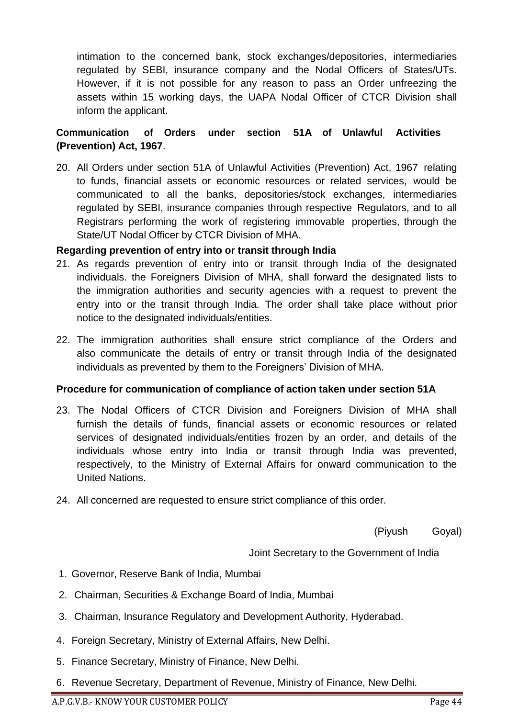intimation to the concerned bank, stock exchanges/depositories, intermediaries regulated by SEBI, insurance company and the Nodal Officers of States/UTs. However, if it is not possible for any reason to pass an Order unfreezing the assets within 15 working days, the UAPA Nodal Officer of CTCR Division shall inform the applicant.

# **Communication of Orders under section 51A of Unlawful Activities (Prevention) Act, 1967**.

20. All Orders under section 51A of Unlawful Activities (Prevention) Act, 1967 relating to funds, financial assets or economic resources or related services, would be communicated to all the banks, depositories/stock exchanges, intermediaries regulated by SEBI, insurance companies through respective Regulators, and to all Registrars performing the work of registering immovable properties, through the State/UT Nodal Officer by CTCR Division of MHA.

#### **Regarding prevention of entry into or transit through India**

- 21. As regards prevention of entry into or transit through India of the designated individuals. the Foreigners Division of MHA, shall forward the designated lists to the immigration authorities and security agencies with a request to prevent the entry into or the transit through India. The order shall take place without prior notice to the designated individuals/entities.
- 22. The immigration authorities shall ensure strict compliance of the Orders and also communicate the details of entry or transit through India of the designated individuals as prevented by them to the Foreigners' Division of MHA.

#### **Procedure for communication of compliance of action taken under section 51A**

- 23. The Nodal Officers of CTCR Division and Foreigners Division of MHA shall furnish the details of funds, financial assets or economic resources or related services of designated individuals/entities frozen by an order, and details of the individuals whose entry into India or transit through India was prevented, respectively, to the Ministry of External Affairs for onward communication to the United Nations.
- 24. All concerned are requested to ensure strict compliance of this order.

(Piyush Goyal)

Joint Secretary to the Government of India

- 1. Governor, Reserve Bank of India, Mumbai
- 2. Chairman, Securities & Exchange Board of India, Mumbai
- 3. Chairman, Insurance Regulatory and Development Authority, Hyderabad.
- 4. Foreign Secretary, Ministry of External Affairs, New Delhi.
- 5. Finance Secretary, Ministry of Finance, New Delhi.
- 6. Revenue Secretary, Department of Revenue, Ministry of Finance, New Delhi.